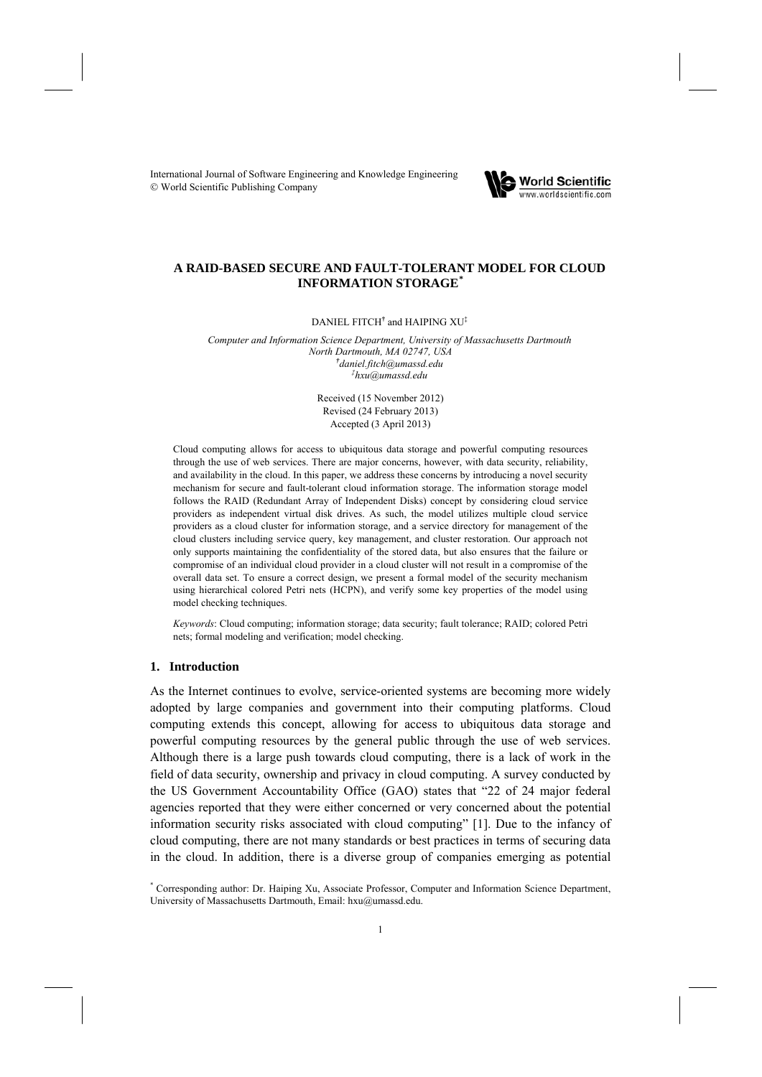International Journal of Software Engineering and Knowledge Engineering © World Scientific Publishing Company



# **A RAID-BASED SECURE AND FAULT-TOLERANT MODEL FOR CLOUD INFORMATION STORAGE[\\*](#page-0-0)**

DANIEL FITCH**†** and HAIPING XU‡

*Computer and Information Science Department, University of Massachusetts Dartmouth North Dartmouth, MA 02747, USA † daniel.fitch@umassd.edu ‡ hxu@umassd.edu* 

> Received (15 November 2012) Revised (24 February 2013) Accepted (3 April 2013)

Cloud computing allows for access to ubiquitous data storage and powerful computing resources through the use of web services. There are major concerns, however, with data security, reliability, and availability in the cloud. In this paper, we address these concerns by introducing a novel security mechanism for secure and fault-tolerant cloud information storage. The information storage model follows the RAID (Redundant Array of Independent Disks) concept by considering cloud service providers as independent virtual disk drives. As such, the model utilizes multiple cloud service providers as a cloud cluster for information storage, and a service directory for management of the cloud clusters including service query, key management, and cluster restoration. Our approach not only supports maintaining the confidentiality of the stored data, but also ensures that the failure or compromise of an individual cloud provider in a cloud cluster will not result in a compromise of the overall data set. To ensure a correct design, we present a formal model of the security mechanism using hierarchical colored Petri nets (HCPN), and verify some key properties of the model using model checking techniques.

*Keywords*: Cloud computing; information storage; data security; fault tolerance; RAID; colored Petri nets; formal modeling and verification; model checking.

# **1. Introduction**

As the Internet continues to evolve, service-oriented systems are becoming more widely adopted by large companies and government into their computing platforms. Cloud computing extends this concept, allowing for access to ubiquitous data storage and powerful computing resources by the general public through the use of web services. Although there is a large push towards cloud computing, there is a lack of work in the field of data security, ownership and privacy in cloud computing. A survey conducted by the US Government Accountability Office (GAO) states that "22 of 24 major federal agencies reported that they were either concerned or very concerned about the potential information security risks associated with cloud computing" [1]. Due to the infancy of cloud computing, there are not many standards or best practices in terms of securing data in the cloud. In addition, there is a diverse group of companies emerging as potential

<span id="page-0-0"></span><sup>\*</sup> Corresponding author: Dr. Haiping Xu, Associate Professor, Computer and Information Science Department, University of Massachusetts Dartmouth, Email: hxu@umassd.edu.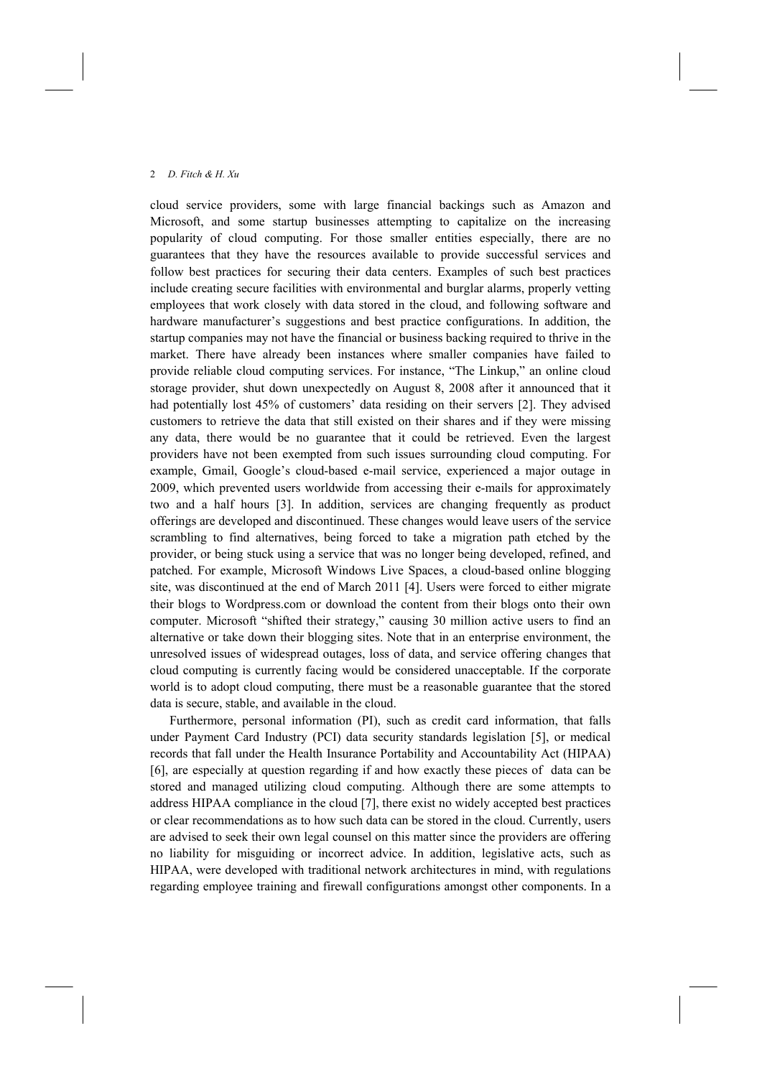cloud service providers, some with large financial backings such as Amazon and Microsoft, and some startup businesses attempting to capitalize on the increasing popularity of cloud computing. For those smaller entities especially, there are no guarantees that they have the resources available to provide successful services and follow best practices for securing their data centers. Examples of such best practices include creating secure facilities with environmental and burglar alarms, properly vetting employees that work closely with data stored in the cloud, and following software and hardware manufacturer's suggestions and best practice configurations. In addition, the startup companies may not have the financial or business backing required to thrive in the market. There have already been instances where smaller companies have failed to provide reliable cloud computing services. For instance, "The Linkup," an online cloud storage provider, shut down unexpectedly on August 8, 2008 after it announced that it had potentially lost 45% of customers' data residing on their servers [2]. They advised customers to retrieve the data that still existed on their shares and if they were missing any data, there would be no guarantee that it could be retrieved. Even the largest providers have not been exempted from such issues surrounding cloud computing. For example, Gmail, Google's cloud-based e-mail service, experienced a major outage in 2009, which prevented users worldwide from accessing their e-mails for approximately two and a half hours [3]. In addition, services are changing frequently as product offerings are developed and discontinued. These changes would leave users of the service scrambling to find alternatives, being forced to take a migration path etched by the provider, or being stuck using a service that was no longer being developed, refined, and patched. For example, Microsoft Windows Live Spaces, a cloud-based online blogging site, was discontinued at the end of March 2011 [4]. Users were forced to either migrate their blogs to Wordpress.com or download the content from their blogs onto their own computer. Microsoft "shifted their strategy," causing 30 million active users to find an alternative or take down their blogging sites. Note that in an enterprise environment, the unresolved issues of widespread outages, loss of data, and service offering changes that cloud computing is currently facing would be considered unacceptable. If the corporate world is to adopt cloud computing, there must be a reasonable guarantee that the stored data is secure, stable, and available in the cloud.

Furthermore, personal information (PI), such as credit card information, that falls under Payment Card Industry (PCI) data security standards legislation [5], or medical records that fall under the Health Insurance Portability and Accountability Act (HIPAA) [6], are especially at question regarding if and how exactly these pieces of data can be stored and managed utilizing cloud computing. Although there are some attempts to address HIPAA compliance in the cloud [7], there exist no widely accepted best practices or clear recommendations as to how such data can be stored in the cloud. Currently, users are advised to seek their own legal counsel on this matter since the providers are offering no liability for misguiding or incorrect advice. In addition, legislative acts, such as HIPAA, were developed with traditional network architectures in mind, with regulations regarding employee training and firewall configurations amongst other components. In a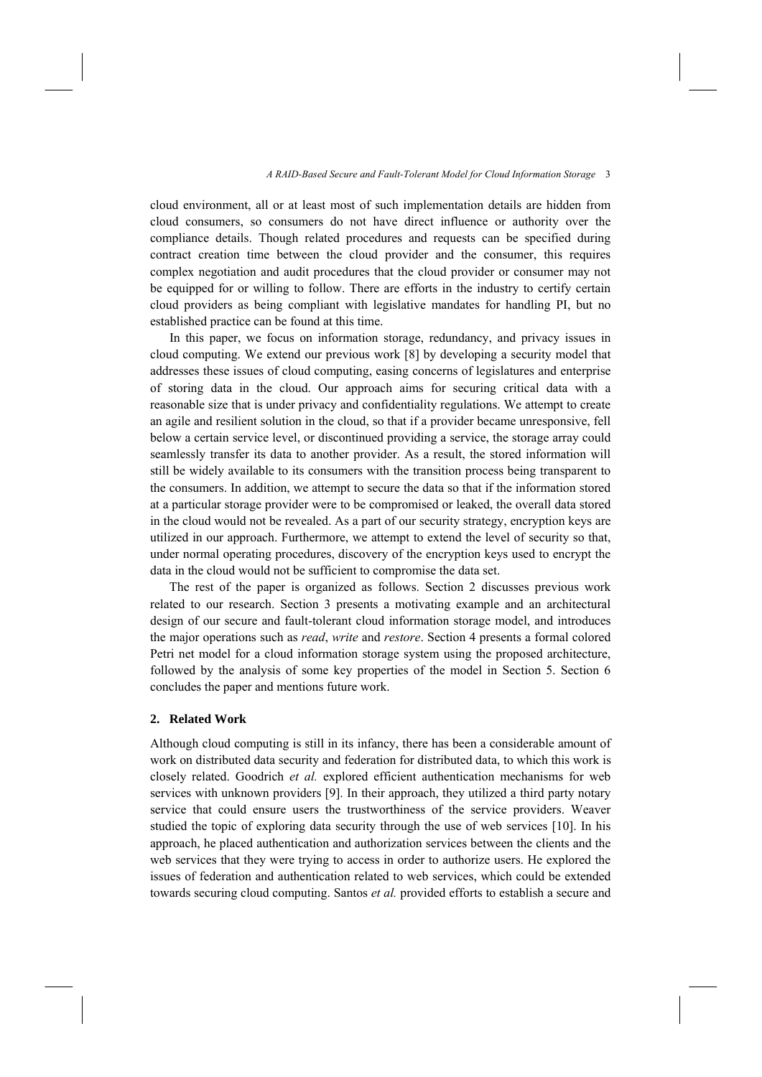#### *A RAID-Based Secure and Fault-Tolerant Model for Cloud Information Storage* 3

cloud environment, all or at least most of such implementation details are hidden from cloud consumers, so consumers do not have direct influence or authority over the compliance details. Though related procedures and requests can be specified during contract creation time between the cloud provider and the consumer, this requires complex negotiation and audit procedures that the cloud provider or consumer may not be equipped for or willing to follow. There are efforts in the industry to certify certain cloud providers as being compliant with legislative mandates for handling PI, but no established practice can be found at this time.

In this paper, we focus on information storage, redundancy, and privacy issues in cloud computing. We extend our previous work [8] by developing a security model that addresses these issues of cloud computing, easing concerns of legislatures and enterprise of storing data in the cloud. Our approach aims for securing critical data with a reasonable size that is under privacy and confidentiality regulations. We attempt to create an agile and resilient solution in the cloud, so that if a provider became unresponsive, fell below a certain service level, or discontinued providing a service, the storage array could seamlessly transfer its data to another provider. As a result, the stored information will still be widely available to its consumers with the transition process being transparent to the consumers. In addition, we attempt to secure the data so that if the information stored at a particular storage provider were to be compromised or leaked, the overall data stored in the cloud would not be revealed. As a part of our security strategy, encryption keys are utilized in our approach. Furthermore, we attempt to extend the level of security so that, under normal operating procedures, discovery of the encryption keys used to encrypt the data in the cloud would not be sufficient to compromise the data set.

The rest of the paper is organized as follows. Section 2 discusses previous work related to our research. Section 3 presents a motivating example and an architectural design of our secure and fault-tolerant cloud information storage model, and introduces the major operations such as *read*, *write* and *restore*. Section 4 presents a formal colored Petri net model for a cloud information storage system using the proposed architecture, followed by the analysis of some key properties of the model in Section 5. Section 6 concludes the paper and mentions future work.

# **2. Related Work**

Although cloud computing is still in its infancy, there has been a considerable amount of work on distributed data security and federation for distributed data, to which this work is closely related. Goodrich *et al.* explored efficient authentication mechanisms for web services with unknown providers [9]. In their approach, they utilized a third party notary service that could ensure users the trustworthiness of the service providers. Weaver studied the topic of exploring data security through the use of web services [10]. In his approach, he placed authentication and authorization services between the clients and the web services that they were trying to access in order to authorize users. He explored the issues of federation and authentication related to web services, which could be extended towards securing cloud computing. Santos *et al.* provided efforts to establish a secure and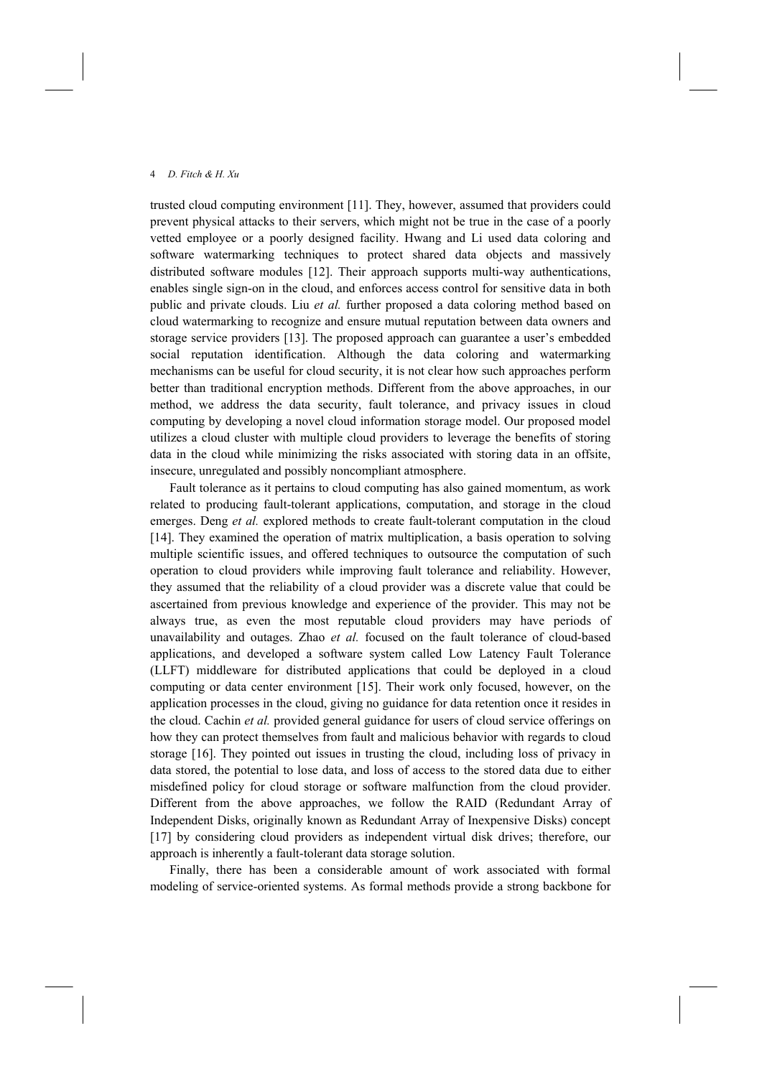trusted cloud computing environment [11]. They, however, assumed that providers could prevent physical attacks to their servers, which might not be true in the case of a poorly vetted employee or a poorly designed facility. Hwang and Li used data coloring and software watermarking techniques to protect shared data objects and massively distributed software modules [12]. Their approach supports multi-way authentications, enables single sign-on in the cloud, and enforces access control for sensitive data in both public and private clouds. Liu *et al.* further proposed a data coloring method based on cloud watermarking to recognize and ensure mutual reputation between data owners and storage service providers [13]. The proposed approach can guarantee a user's embedded social reputation identification. Although the data coloring and watermarking mechanisms can be useful for cloud security, it is not clear how such approaches perform better than traditional encryption methods. Different from the above approaches, in our method, we address the data security, fault tolerance, and privacy issues in cloud computing by developing a novel cloud information storage model. Our proposed model utilizes a cloud cluster with multiple cloud providers to leverage the benefits of storing data in the cloud while minimizing the risks associated with storing data in an offsite, insecure, unregulated and possibly noncompliant atmosphere.

Fault tolerance as it pertains to cloud computing has also gained momentum, as work related to producing fault-tolerant applications, computation, and storage in the cloud emerges. Deng *et al.* explored methods to create fault-tolerant computation in the cloud [14]. They examined the operation of matrix multiplication, a basis operation to solving multiple scientific issues, and offered techniques to outsource the computation of such operation to cloud providers while improving fault tolerance and reliability. However, they assumed that the reliability of a cloud provider was a discrete value that could be ascertained from previous knowledge and experience of the provider. This may not be always true, as even the most reputable cloud providers may have periods of unavailability and outages. Zhao *et al.* focused on the fault tolerance of cloud-based applications, and developed a software system called Low Latency Fault Tolerance (LLFT) middleware for distributed applications that could be deployed in a cloud computing or data center environment [15]. Their work only focused, however, on the application processes in the cloud, giving no guidance for data retention once it resides in the cloud. Cachin *et al.* provided general guidance for users of cloud service offerings on how they can protect themselves from fault and malicious behavior with regards to cloud storage [16]. They pointed out issues in trusting the cloud, including loss of privacy in data stored, the potential to lose data, and loss of access to the stored data due to either misdefined policy for cloud storage or software malfunction from the cloud provider. Different from the above approaches, we follow the RAID (Redundant Array of Independent Disks, originally known as Redundant Array of Inexpensive Disks) concept [17] by considering cloud providers as independent virtual disk drives; therefore, our approach is inherently a fault-tolerant data storage solution.

Finally, there has been a considerable amount of work associated with formal modeling of service-oriented systems. As formal methods provide a strong backbone for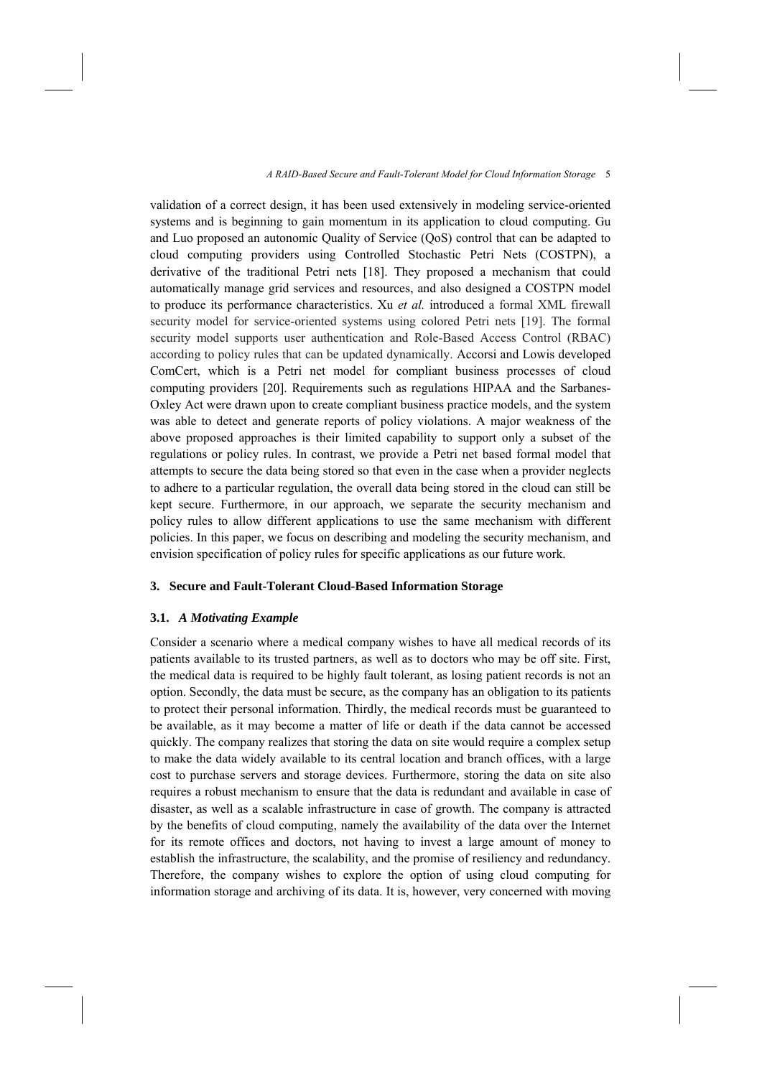#### *A RAID-Based Secure and Fault-Tolerant Model for Cloud Information Storage* 5

validation of a correct design, it has been used extensively in modeling service-oriented systems and is beginning to gain momentum in its application to cloud computing. Gu and Luo proposed an autonomic Quality of Service (QoS) control that can be adapted to cloud computing providers using Controlled Stochastic Petri Nets (COSTPN), a derivative of the traditional Petri nets [18]. They proposed a mechanism that could automatically manage grid services and resources, and also designed a COSTPN model to produce its performance characteristics. Xu *et al.* introduced a formal XML firewall security model for service-oriented systems using colored Petri nets [19]. The formal security model supports user authentication and Role-Based Access Control (RBAC) according to policy rules that can be updated dynamically. Accorsi and Lowis developed ComCert, which is a Petri net model for compliant business processes of cloud computing providers [20]. Requirements such as regulations HIPAA and the Sarbanes-Oxley Act were drawn upon to create compliant business practice models, and the system was able to detect and generate reports of policy violations. A major weakness of the above proposed approaches is their limited capability to support only a subset of the regulations or policy rules. In contrast, we provide a Petri net based formal model that attempts to secure the data being stored so that even in the case when a provider neglects to adhere to a particular regulation, the overall data being stored in the cloud can still be kept secure. Furthermore, in our approach, we separate the security mechanism and policy rules to allow different applications to use the same mechanism with different policies. In this paper, we focus on describing and modeling the security mechanism, and envision specification of policy rules for specific applications as our future work.

# **3. Secure and Fault-Tolerant Cloud-Based Information Storage**

# **3.1.** *A Motivating Example*

Consider a scenario where a medical company wishes to have all medical records of its patients available to its trusted partners, as well as to doctors who may be off site. First, the medical data is required to be highly fault tolerant, as losing patient records is not an option. Secondly, the data must be secure, as the company has an obligation to its patients to protect their personal information. Thirdly, the medical records must be guaranteed to be available, as it may become a matter of life or death if the data cannot be accessed quickly. The company realizes that storing the data on site would require a complex setup to make the data widely available to its central location and branch offices, with a large cost to purchase servers and storage devices. Furthermore, storing the data on site also requires a robust mechanism to ensure that the data is redundant and available in case of disaster, as well as a scalable infrastructure in case of growth. The company is attracted by the benefits of cloud computing, namely the availability of the data over the Internet for its remote offices and doctors, not having to invest a large amount of money to establish the infrastructure, the scalability, and the promise of resiliency and redundancy. Therefore, the company wishes to explore the option of using cloud computing for information storage and archiving of its data. It is, however, very concerned with moving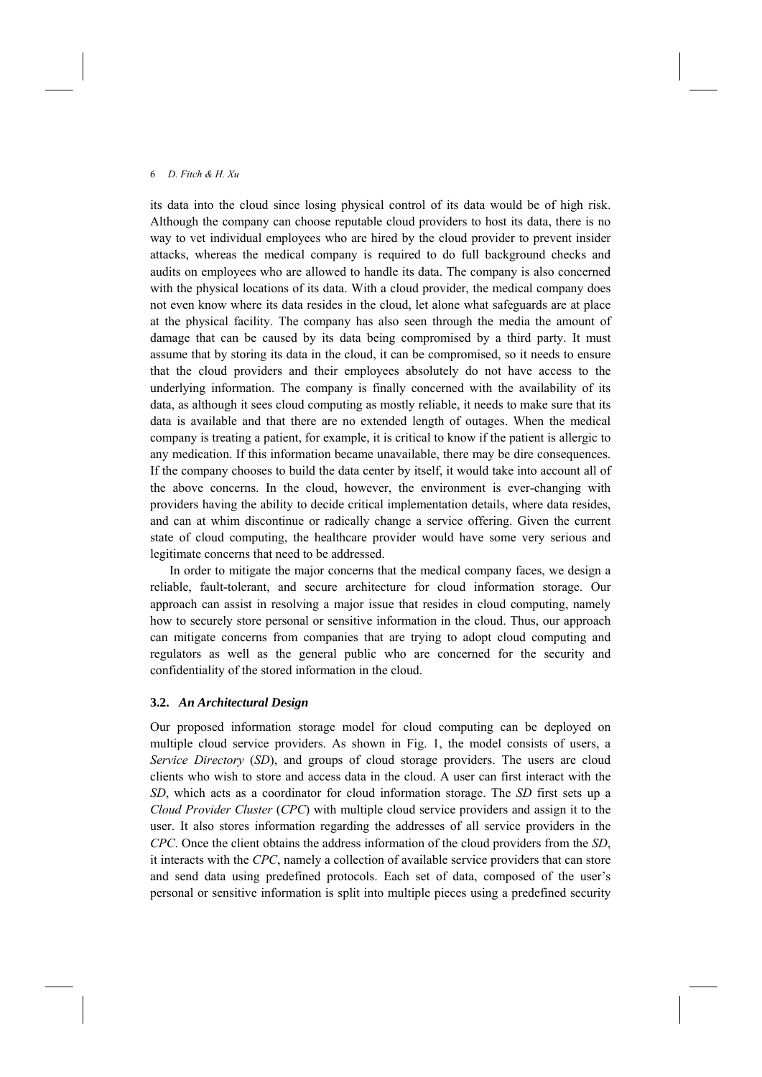its data into the cloud since losing physical control of its data would be of high risk. Although the company can choose reputable cloud providers to host its data, there is no way to vet individual employees who are hired by the cloud provider to prevent insider attacks, whereas the medical company is required to do full background checks and audits on employees who are allowed to handle its data. The company is also concerned with the physical locations of its data. With a cloud provider, the medical company does not even know where its data resides in the cloud, let alone what safeguards are at place at the physical facility. The company has also seen through the media the amount of damage that can be caused by its data being compromised by a third party. It must assume that by storing its data in the cloud, it can be compromised, so it needs to ensure that the cloud providers and their employees absolutely do not have access to the underlying information. The company is finally concerned with the availability of its data, as although it sees cloud computing as mostly reliable, it needs to make sure that its data is available and that there are no extended length of outages. When the medical company is treating a patient, for example, it is critical to know if the patient is allergic to any medication. If this information became unavailable, there may be dire consequences. If the company chooses to build the data center by itself, it would take into account all of the above concerns. In the cloud, however, the environment is ever-changing with providers having the ability to decide critical implementation details, where data resides, and can at whim discontinue or radically change a service offering. Given the current state of cloud computing, the healthcare provider would have some very serious and legitimate concerns that need to be addressed.

In order to mitigate the major concerns that the medical company faces, we design a reliable, fault-tolerant, and secure architecture for cloud information storage. Our approach can assist in resolving a major issue that resides in cloud computing, namely how to securely store personal or sensitive information in the cloud. Thus, our approach can mitigate concerns from companies that are trying to adopt cloud computing and regulators as well as the general public who are concerned for the security and confidentiality of the stored information in the cloud.

#### **3.2.** *An Architectural Design*

Our proposed information storage model for cloud computing can be deployed on multiple cloud service providers. As shown in Fig. 1, the model consists of users, a *Service Directory* (*SD*), and groups of cloud storage providers. The users are cloud clients who wish to store and access data in the cloud. A user can first interact with the *SD*, which acts as a coordinator for cloud information storage. The *SD* first sets up a *Cloud Provider Cluster* (*CPC*) with multiple cloud service providers and assign it to the user. It also stores information regarding the addresses of all service providers in the *CPC*. Once the client obtains the address information of the cloud providers from the *SD*, it interacts with the *CPC*, namely a collection of available service providers that can store and send data using predefined protocols. Each set of data, composed of the user's personal or sensitive information is split into multiple pieces using a predefined security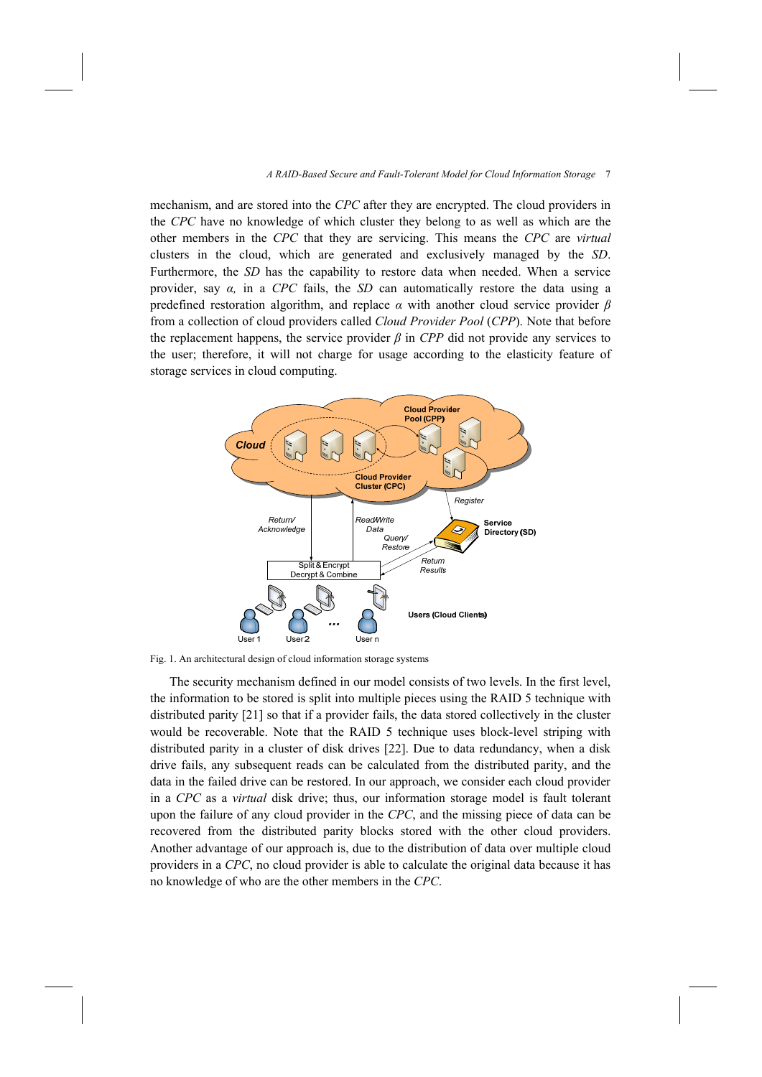#### *A RAID-Based Secure and Fault-Tolerant Model for Cloud Information Storage* 7

mechanism, and are stored into the *CPC* after they are encrypted. The cloud providers in the *CPC* have no knowledge of which cluster they belong to as well as which are the other members in the *CPC* that they are servicing. This means the *CPC* are *virtual* clusters in the cloud, which are generated and exclusively managed by the *SD*. Furthermore, the *SD* has the capability to restore data when needed. When a service provider, say *α,* in a *CPC* fails, the *SD* can automatically restore the data using a predefined restoration algorithm, and replace  $\alpha$  with another cloud service provider  $\beta$ from a collection of cloud providers called *Cloud Provider Pool* (*CPP*). Note that before the replacement happens, the service provider  $\beta$  in *CPP* did not provide any services to the user; therefore, it will not charge for usage according to the elasticity feature of storage services in cloud computing.



Fig. 1. An architectural design of cloud information storage systems

The security mechanism defined in our model consists of two levels. In the first level, the information to be stored is split into multiple pieces using the RAID 5 technique with distributed parity [21] so that if a provider fails, the data stored collectively in the cluster would be recoverable. Note that the RAID 5 technique uses block-level striping with distributed parity in a cluster of disk drives [22]. Due to data redundancy, when a disk drive fails, any subsequent reads can be calculated from the distributed parity, and the data in the failed drive can be restored. In our approach, we consider each cloud provider in a *CPC* as a *virtual* disk drive; thus, our information storage model is fault tolerant upon the failure of any cloud provider in the *CPC*, and the missing piece of data can be recovered from the distributed parity blocks stored with the other cloud providers. Another advantage of our approach is, due to the distribution of data over multiple cloud providers in a *CPC*, no cloud provider is able to calculate the original data because it has no knowledge of who are the other members in the *CPC*.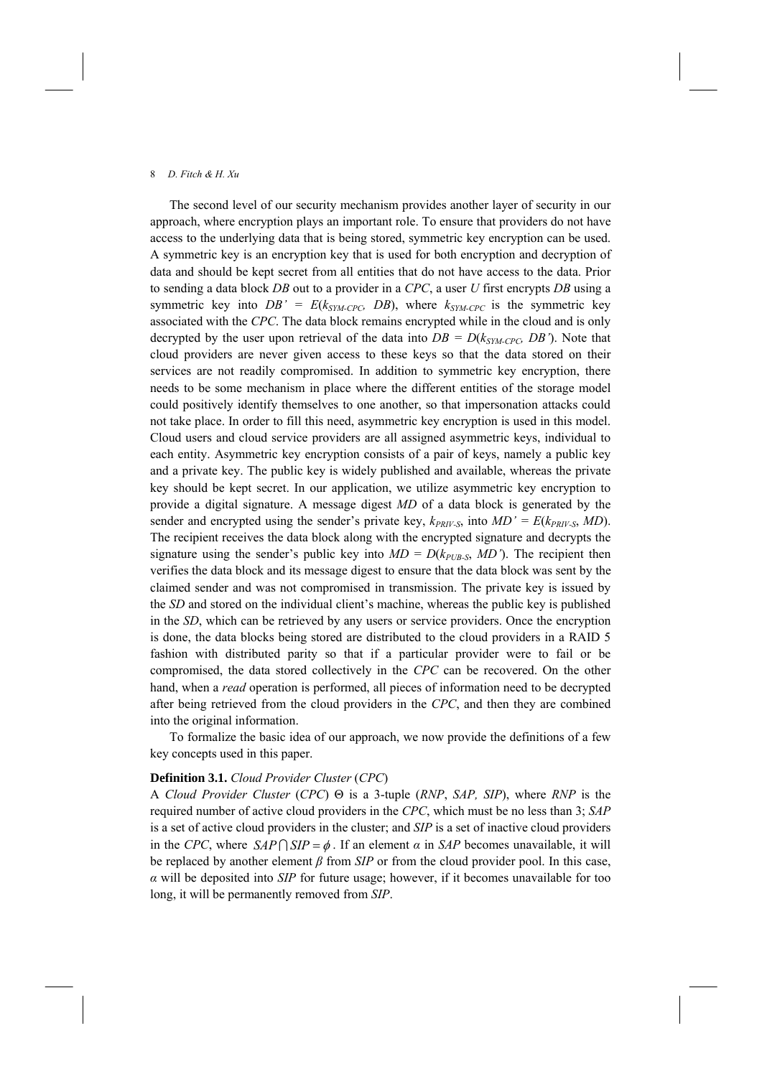The second level of our security mechanism provides another layer of security in our approach, where encryption plays an important role. To ensure that providers do not have access to the underlying data that is being stored, symmetric key encryption can be used. A symmetric key is an encryption key that is used for both encryption and decryption of data and should be kept secret from all entities that do not have access to the data. Prior to sending a data block *DB* out to a provider in a *CPC*, a user *U* first encrypts *DB* using a symmetric key into  $DB' = E(k_{SYM-CPC}, DB)$ , where  $k_{SYM-CPC}$  is the symmetric key associated with the *CPC*. The data block remains encrypted while in the cloud and is only decrypted by the user upon retrieval of the data into  $DB = D(k_{STM-CPC}, DB')$ . Note that cloud providers are never given access to these keys so that the data stored on their services are not readily compromised. In addition to symmetric key encryption, there needs to be some mechanism in place where the different entities of the storage model could positively identify themselves to one another, so that impersonation attacks could not take place. In order to fill this need, asymmetric key encryption is used in this model. Cloud users and cloud service providers are all assigned asymmetric keys, individual to each entity. Asymmetric key encryption consists of a pair of keys, namely a public key and a private key. The public key is widely published and available, whereas the private key should be kept secret. In our application, we utilize asymmetric key encryption to provide a digital signature. A message digest *MD* of a data block is generated by the sender and encrypted using the sender's private key,  $k_{PRIV-S}$ , into  $MD' = E(k_{PRIV-S}, MD)$ . The recipient receives the data block along with the encrypted signature and decrypts the signature using the sender's public key into  $MD = D(k_{PI/B-S}, MD')$ . The recipient then verifies the data block and its message digest to ensure that the data block was sent by the claimed sender and was not compromised in transmission. The private key is issued by the *SD* and stored on the individual client's machine, whereas the public key is published in the *SD*, which can be retrieved by any users or service providers. Once the encryption is done, the data blocks being stored are distributed to the cloud providers in a RAID 5 fashion with distributed parity so that if a particular provider were to fail or be compromised, the data stored collectively in the *CPC* can be recovered. On the other hand, when a *read* operation is performed, all pieces of information need to be decrypted after being retrieved from the cloud providers in the *CPC*, and then they are combined into the original information.

To formalize the basic idea of our approach, we now provide the definitions of a few key concepts used in this paper.

#### **Definition 3.1.** *Cloud Provider Cluster* (*CPC*)

A *Cloud Provider Cluster* (*CPC*) Θ is a 3-tuple (*RNP*, *SAP, SIP*), where *RNP* is the required number of active cloud providers in the *CPC*, which must be no less than 3; *SAP* is a set of active cloud providers in the cluster; and *SIP* is a set of inactive cloud providers in the *CPC*, where  $SAP \cap SIP = \phi$ . If an element  $\alpha$  in *SAP* becomes unavailable, it will be replaced by another element *β* from *SIP* or from the cloud provider pool. In this case, *α* will be deposited into *SIP* for future usage; however, if it becomes unavailable for too long, it will be permanently removed from *SIP*.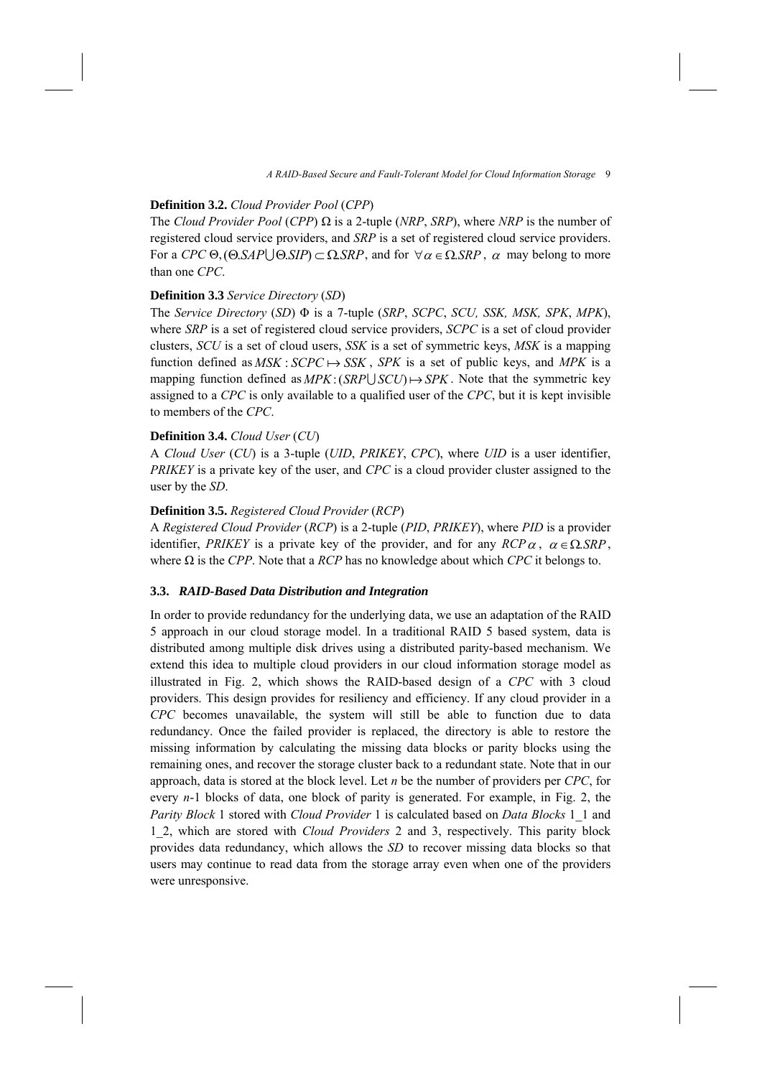# **Definition 3.2.** *Cloud Provider Pool* (*CPP*)

The *Cloud Provider Pool* (*CPP*) Ω is a 2-tuple (*NRP*, *SRP*), where *NRP* is the number of registered cloud service providers, and *SRP* is a set of registered cloud service providers. For a *CPC*  $\Theta$ ,  $(\Theta \text{SAP} \cup \Theta \text{SIP}) \subset \Omega \text{SRP}$ , and for  $\forall \alpha \in \Omega \text{SRP}$ ,  $\alpha$  may belong to more than one *CPC*.

# **Definition 3.3** *Service Directory* (*SD*)

The *Service Directory* (*SD*) Φ is a 7-tuple (*SRP*, *SCPC*, *SCU, SSK, MSK, SPK*, *MPK*), where *SRP* is a set of registered cloud service providers, *SCPC* is a set of cloud provider clusters, *SCU* is a set of cloud users, *SSK* is a set of symmetric keys, *MSK* is a mapping function defined as  $MSK : SCPC \rightarrow SSK$ , *SPK* is a set of public keys, and *MPK* is a mapping function defined as  $MPK : (SRP \cup SCU) \rightarrow SPK$ . Note that the symmetric key assigned to a *CPC* is only available to a qualified user of the *CPC*, but it is kept invisible to members of the *CPC*.

#### **Definition 3.4.** *Cloud User* (*CU*)

A *Cloud User* (*CU*) is a 3-tuple (*UID*, *PRIKEY*, *CPC*), where *UID* is a user identifier, *PRIKEY* is a private key of the user, and *CPC* is a cloud provider cluster assigned to the user by the *SD*.

# **Definition 3.5.** *Registered Cloud Provider* (*RCP*)

A *Registered Cloud Provider* (*RCP*) is a 2-tuple (*PID*, *PRIKEY*), where *PID* is a provider identifier, *PRIKEY* is a private key of the provider, and for any  $RCP\alpha$ ,  $\alpha \in \Omega$ *SRP*, where  $\Omega$  is the *CPP*. Note that a *RCP* has no knowledge about which *CPC* it belongs to.

#### **3.3.** *RAID-Based Data Distribution and Integration*

In order to provide redundancy for the underlying data, we use an adaptation of the RAID 5 approach in our cloud storage model. In a traditional RAID 5 based system, data is distributed among multiple disk drives using a distributed parity-based mechanism. We extend this idea to multiple cloud providers in our cloud information storage model as illustrated in Fig. 2, which shows the RAID-based design of a *CPC* with 3 cloud providers. This design provides for resiliency and efficiency. If any cloud provider in a *CPC* becomes unavailable, the system will still be able to function due to data redundancy. Once the failed provider is replaced, the directory is able to restore the missing information by calculating the missing data blocks or parity blocks using the remaining ones, and recover the storage cluster back to a redundant state. Note that in our approach, data is stored at the block level. Let *n* be the number of providers per *CPC*, for every *n*-1 blocks of data, one block of parity is generated. For example, in Fig. 2, the *Parity Block* 1 stored with *Cloud Provider* 1 is calculated based on *Data Blocks* 1\_1 and 1\_2, which are stored with *Cloud Providers* 2 and 3, respectively. This parity block provides data redundancy, which allows the *SD* to recover missing data blocks so that users may continue to read data from the storage array even when one of the providers were unresponsive.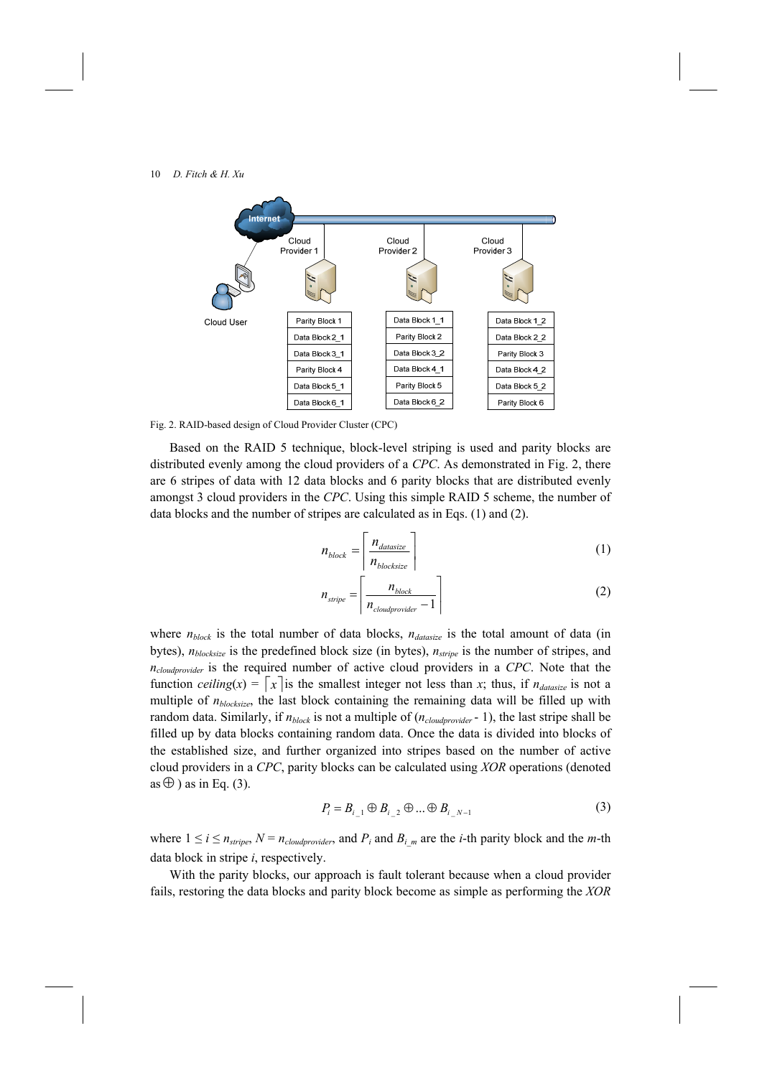10 *D. Fitch & H. Xu* 



Fig. 2. RAID-based design of Cloud Provider Cluster (CPC)

Based on the RAID 5 technique, block-level striping is used and parity blocks are distributed evenly among the cloud providers of a *CPC*. As demonstrated in Fig. 2, there are 6 stripes of data with 12 data blocks and 6 parity blocks that are distributed evenly amongst 3 cloud providers in the *CPC*. Using this simple RAID 5 scheme, the number of data blocks and the number of stripes are calculated as in Eqs. (1) and (2).

$$
n_{block} = \left| \frac{n_{datasize}}{n_{blocksize}} \right| \tag{1}
$$

$$
n_{\text{stripe}} = \left\lceil \frac{n_{\text{block}}}{n_{\text{cloudprovider}} - 1} \right\rceil \tag{2}
$$

where  $n_{block}$  is the total number of data blocks,  $n_{datasize}$  is the total amount of data (in bytes), *nblocksize* is the predefined block size (in bytes), *nstripe* is the number of stripes, and *ncloudprovider* is the required number of active cloud providers in a *CPC*. Note that the function *ceiling*(*x*) =  $\lceil x \rceil$  is the smallest integer not less than *x*; thus, if  $n_{dataset}$  is not a multiple of *nblocksize*, the last block containing the remaining data will be filled up with random data. Similarly, if *nblock* is not a multiple of (*ncloudprovider* - 1), the last stripe shall be filled up by data blocks containing random data. Once the data is divided into blocks of the established size, and further organized into stripes based on the number of active cloud providers in a *CPC*, parity blocks can be calculated using *XOR* operations (denoted  $as \oplus$ ) as in Eq. (3).

$$
P_i = B_{i-1} \oplus B_{i-2} \oplus \dots \oplus B_{i-N-1} \tag{3}
$$

where  $1 \le i \le n_{\text{stripe}}$ ,  $N = n_{\text{cloudprovider}}$ , and  $P_i$  and  $B_i$ <sub>m</sub> are the *i*-th parity block and the *m*-th data block in stripe *i*, respectively.

With the parity blocks, our approach is fault tolerant because when a cloud provider fails, restoring the data blocks and parity block become as simple as performing the *XOR*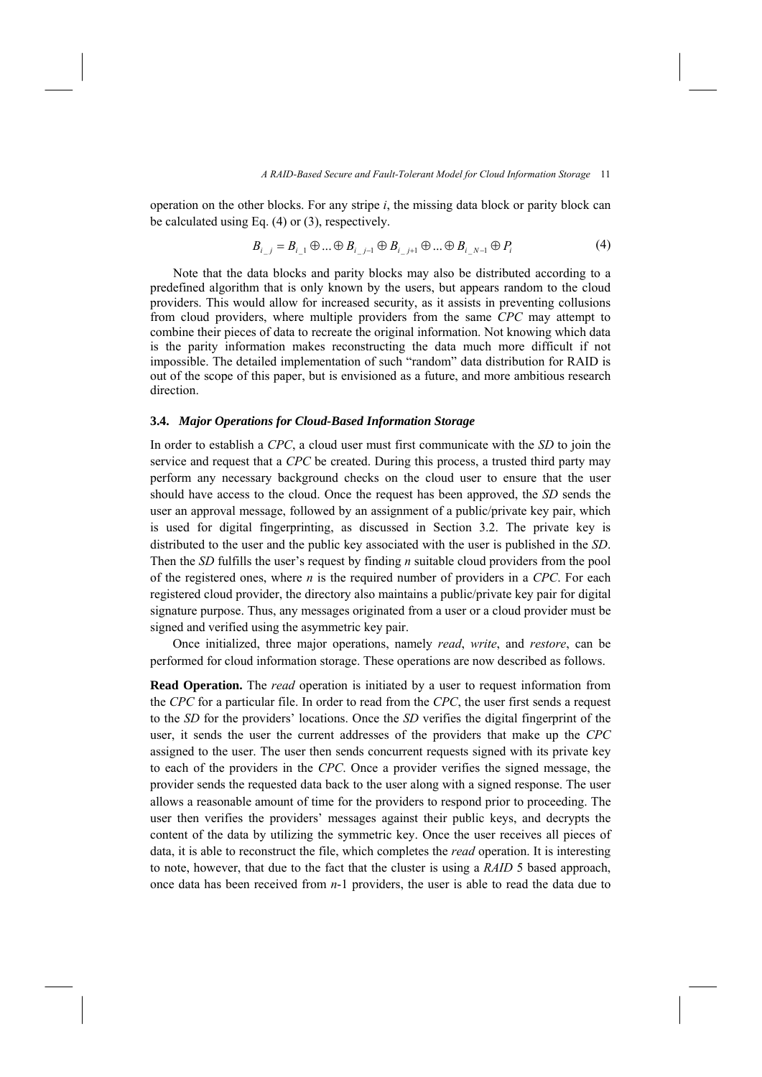operation on the other blocks. For any stripe *i*, the missing data block or parity block can be calculated using Eq. (4) or (3), respectively.

$$
B_{i,j} = B_{i,1} \oplus ... \oplus B_{i,j-1} \oplus B_{i,j+1} \oplus ... \oplus B_{i,N-1} \oplus P_i
$$
 (4)

Note that the data blocks and parity blocks may also be distributed according to a predefined algorithm that is only known by the users, but appears random to the cloud providers. This would allow for increased security, as it assists in preventing collusions from cloud providers, where multiple providers from the same *CPC* may attempt to combine their pieces of data to recreate the original information. Not knowing which data is the parity information makes reconstructing the data much more difficult if not impossible. The detailed implementation of such "random" data distribution for RAID is out of the scope of this paper, but is envisioned as a future, and more ambitious research direction.

# **3.4.** *Major Operations for Cloud-Based Information Storage*

In order to establish a *CPC*, a cloud user must first communicate with the *SD* to join the service and request that a *CPC* be created. During this process, a trusted third party may perform any necessary background checks on the cloud user to ensure that the user should have access to the cloud. Once the request has been approved, the *SD* sends the user an approval message, followed by an assignment of a public/private key pair, which is used for digital fingerprinting, as discussed in Section 3.2. The private key is distributed to the user and the public key associated with the user is published in the *SD*. Then the *SD* fulfills the user's request by finding *n* suitable cloud providers from the pool of the registered ones, where *n* is the required number of providers in a *CPC*. For each registered cloud provider, the directory also maintains a public/private key pair for digital signature purpose. Thus, any messages originated from a user or a cloud provider must be signed and verified using the asymmetric key pair.

 Once initialized, three major operations, namely *read*, *write*, and *restore*, can be performed for cloud information storage. These operations are now described as follows.

**Read Operation.** The *read* operation is initiated by a user to request information from the *CPC* for a particular file. In order to read from the *CPC*, the user first sends a request to the *SD* for the providers' locations. Once the *SD* verifies the digital fingerprint of the user, it sends the user the current addresses of the providers that make up the *CPC* assigned to the user. The user then sends concurrent requests signed with its private key to each of the providers in the *CPC*. Once a provider verifies the signed message, the provider sends the requested data back to the user along with a signed response. The user allows a reasonable amount of time for the providers to respond prior to proceeding. The user then verifies the providers' messages against their public keys, and decrypts the content of the data by utilizing the symmetric key. Once the user receives all pieces of data, it is able to reconstruct the file, which completes the *read* operation. It is interesting to note, however, that due to the fact that the cluster is using a *RAID* 5 based approach, once data has been received from *n*-1 providers, the user is able to read the data due to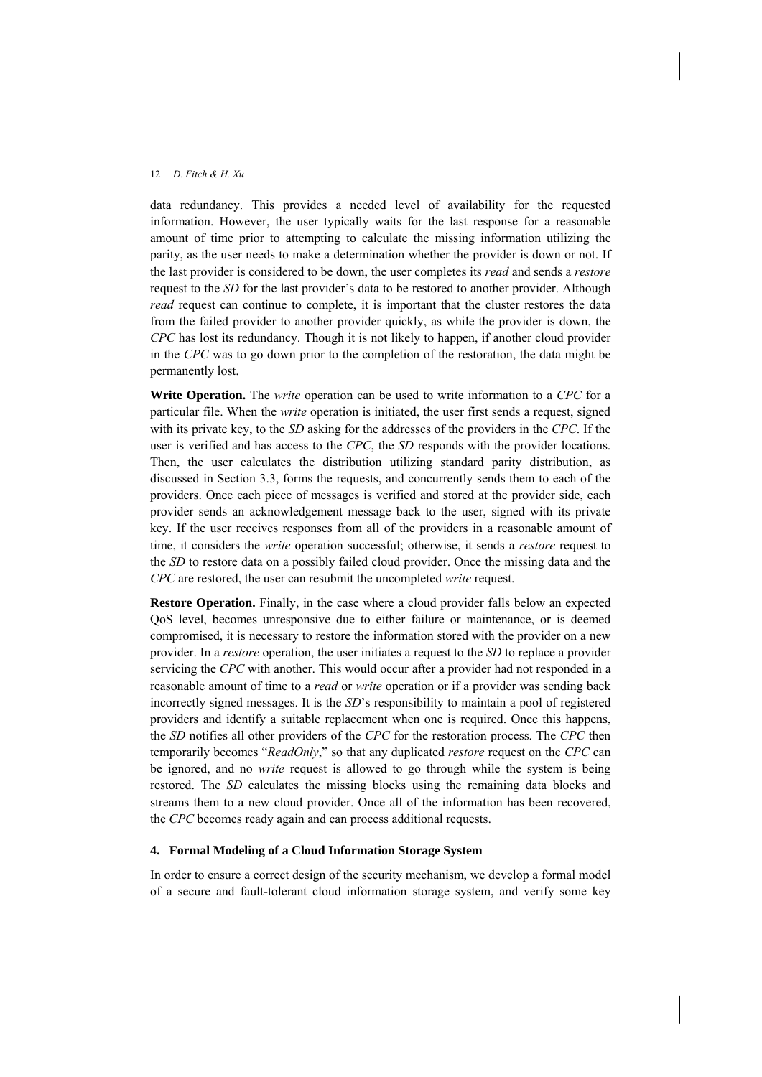data redundancy. This provides a needed level of availability for the requested information. However, the user typically waits for the last response for a reasonable amount of time prior to attempting to calculate the missing information utilizing the parity, as the user needs to make a determination whether the provider is down or not. If the last provider is considered to be down, the user completes its *read* and sends a *restore* request to the *SD* for the last provider's data to be restored to another provider. Although *read* request can continue to complete, it is important that the cluster restores the data from the failed provider to another provider quickly, as while the provider is down, the *CPC* has lost its redundancy. Though it is not likely to happen, if another cloud provider in the *CPC* was to go down prior to the completion of the restoration, the data might be permanently lost.

**Write Operation.** The *write* operation can be used to write information to a *CPC* for a particular file. When the *write* operation is initiated, the user first sends a request, signed with its private key, to the *SD* asking for the addresses of the providers in the *CPC*. If the user is verified and has access to the *CPC*, the *SD* responds with the provider locations. Then, the user calculates the distribution utilizing standard parity distribution, as discussed in Section 3.3, forms the requests, and concurrently sends them to each of the providers. Once each piece of messages is verified and stored at the provider side, each provider sends an acknowledgement message back to the user, signed with its private key. If the user receives responses from all of the providers in a reasonable amount of time, it considers the *write* operation successful; otherwise, it sends a *restore* request to the *SD* to restore data on a possibly failed cloud provider. Once the missing data and the *CPC* are restored, the user can resubmit the uncompleted *write* request.

**Restore Operation.** Finally, in the case where a cloud provider falls below an expected QoS level, becomes unresponsive due to either failure or maintenance, or is deemed compromised, it is necessary to restore the information stored with the provider on a new provider. In a *restore* operation, the user initiates a request to the *SD* to replace a provider servicing the *CPC* with another. This would occur after a provider had not responded in a reasonable amount of time to a *read* or *write* operation or if a provider was sending back incorrectly signed messages. It is the *SD*'s responsibility to maintain a pool of registered providers and identify a suitable replacement when one is required. Once this happens, the *SD* notifies all other providers of the *CPC* for the restoration process. The *CPC* then temporarily becomes "*ReadOnly*," so that any duplicated *restore* request on the *CPC* can be ignored, and no *write* request is allowed to go through while the system is being restored. The *SD* calculates the missing blocks using the remaining data blocks and streams them to a new cloud provider. Once all of the information has been recovered, the *CPC* becomes ready again and can process additional requests.

# **4. Formal Modeling of a Cloud Information Storage System**

In order to ensure a correct design of the security mechanism, we develop a formal model of a secure and fault-tolerant cloud information storage system, and verify some key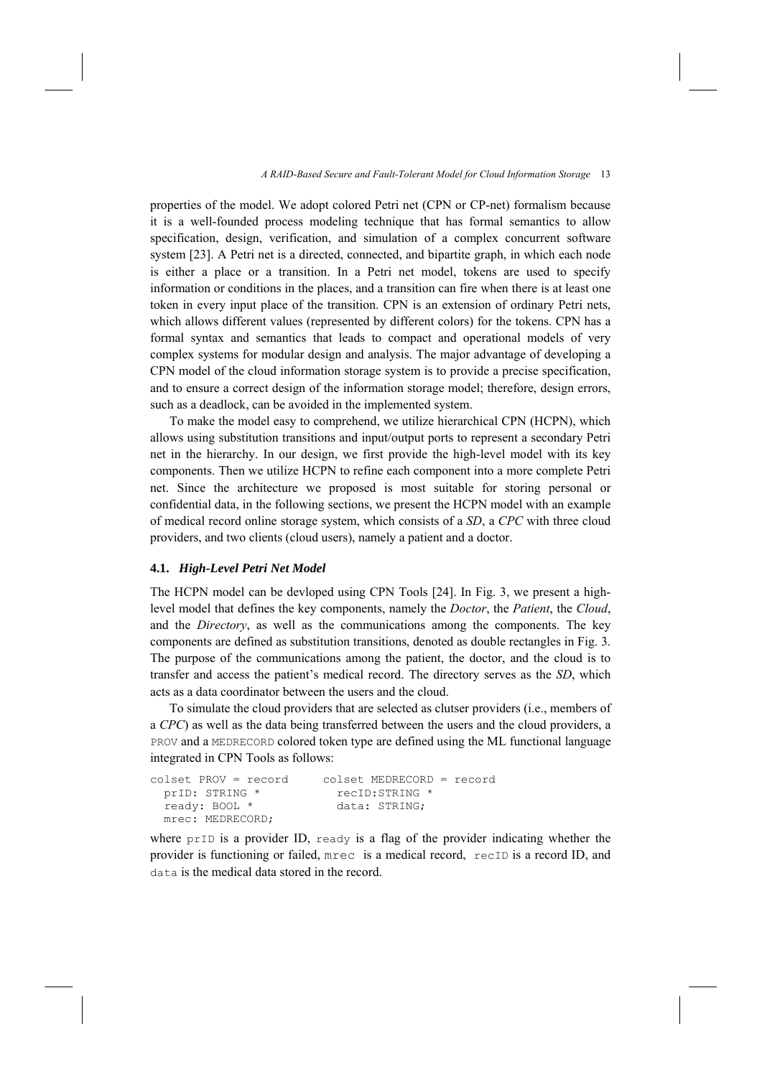properties of the model. We adopt colored Petri net (CPN or CP-net) formalism because it is a well-founded process modeling technique that has formal semantics to allow specification, design, verification, and simulation of a complex concurrent software system [23]. A Petri net is a directed, connected, and bipartite graph, in which each node is either a place or a transition. In a Petri net model, tokens are used to specify information or conditions in the places, and a transition can fire when there is at least one token in every input place of the transition. CPN is an extension of ordinary Petri nets, which allows different values (represented by different colors) for the tokens. CPN has a formal syntax and semantics that leads to compact and operational models of very complex systems for modular design and analysis. The major advantage of developing a CPN model of the cloud information storage system is to provide a precise specification, and to ensure a correct design of the information storage model; therefore, design errors, such as a deadlock, can be avoided in the implemented system.

To make the model easy to comprehend, we utilize hierarchical CPN (HCPN), which allows using substitution transitions and input/output ports to represent a secondary Petri net in the hierarchy. In our design, we first provide the high-level model with its key components. Then we utilize HCPN to refine each component into a more complete Petri net. Since the architecture we proposed is most suitable for storing personal or confidential data, in the following sections, we present the HCPN model with an example of medical record online storage system, which consists of a *SD*, a *CPC* with three cloud providers, and two clients (cloud users), namely a patient and a doctor.

# **4.1.** *High-Level Petri Net Model*

The HCPN model can be devloped using CPN Tools [24]. In Fig. 3, we present a highlevel model that defines the key components, namely the *Doctor*, the *Patient*, the *Cloud*, and the *Directory*, as well as the communications among the components. The key components are defined as substitution transitions, denoted as double rectangles in Fig. 3. The purpose of the communications among the patient, the doctor, and the cloud is to transfer and access the patient's medical record. The directory serves as the *SD*, which acts as a data coordinator between the users and the cloud.

To simulate the cloud providers that are selected as clutser providers (i.e., members of a *CPC*) as well as the data being transferred between the users and the cloud providers, a PROV and a MEDRECORD colored token type are defined using the ML functional language integrated in CPN Tools as follows:

| colset PROV = record | $colset$ MEDRECORD = record |
|----------------------|-----------------------------|
| priD: STRING *       | recID:STRING *              |
| ready: BOOL *        | data: STRING;               |
| mrec: MEDRECORD;     |                             |

where  $p r \text{ID}$  is a provider ID, ready is a flag of the provider indicating whether the provider is functioning or failed, mrec is a medical record, recID is a record ID, and data is the medical data stored in the record.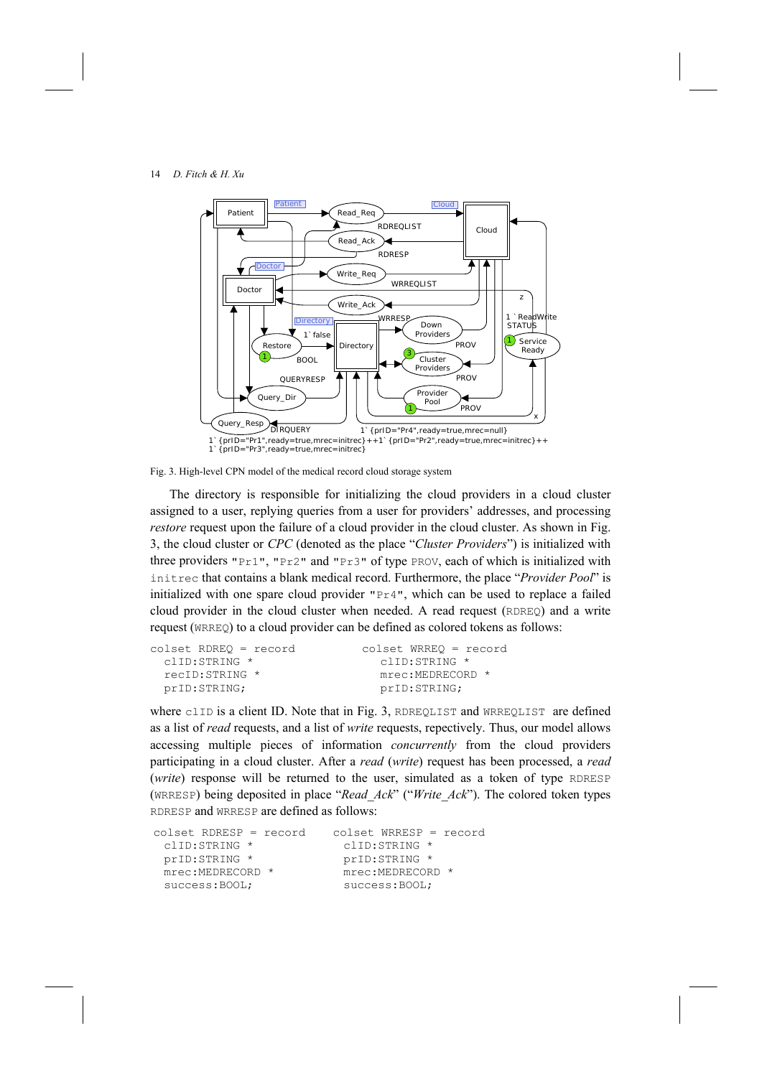

Fig. 3. High-level CPN model of the medical record cloud storage system

The directory is responsible for initializing the cloud providers in a cloud cluster assigned to a user, replying queries from a user for providers' addresses, and processing *restore* request upon the failure of a cloud provider in the cloud cluster. As shown in Fig. 3, the cloud cluster or *CPC* (denoted as the place "*Cluster Providers*") is initialized with three providers "Pr1", "Pr2" and "Pr3" of type PROV, each of which is initialized with initrec that contains a blank medical record. Furthermore, the place "*Provider Pool*" is initialized with one spare cloud provider "Pr4", which can be used to replace a failed cloud provider in the cloud cluster when needed. A read request (RDREQ) and a write request (WRREQ) to a cloud provider can be defined as colored tokens as follows:

| $colset$ RDREO = record | colset WRREO = record |
|-------------------------|-----------------------|
| $clID:STRING *$         | $clID:STRING *$       |
| recID:STRING *          | mrec:MEDRECORD *      |
| prID:STRING;            | prID:STRING;          |

where clID is a client ID. Note that in Fig. 3, RDREQLIST and WRREQLIST are defined as a list of *read* requests, and a list of *write* requests, repectively. Thus, our model allows accessing multiple pieces of information *concurrently* from the cloud providers participating in a cloud cluster. After a *read* (*write*) request has been processed, a *read* (*write*) response will be returned to the user, simulated as a token of type RDRESP (WRRESP) being deposited in place "*Read\_Ack*" ("*Write\_Ack*"). The colored token types RDRESP and WRRESP are defined as follows:

| $colset$ RDRESP = record | $colset$ WRRESP = record |
|--------------------------|--------------------------|
| clID:STRING *            | clID:STRING *            |
| prID:STRING *            | prID:STRING *            |
| mrec: MEDRECORD *        | mrec: MEDRECORD *        |
| success: BOOL;           | success: BOOL;           |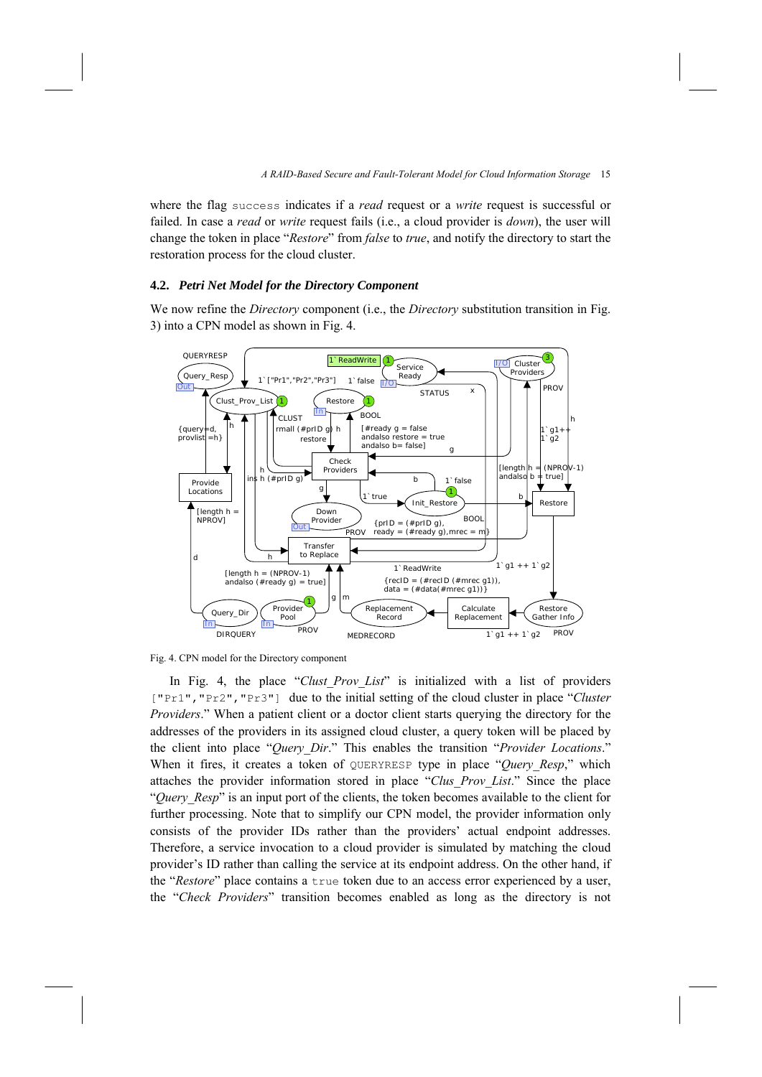where the flag success indicates if a *read* request or a *write* request is successful or failed. In case a *read* or *write* request fails (i.e., a cloud provider is *down*), the user will change the token in place "*Restore*" from *false* to *true*, and notify the directory to start the restoration process for the cloud cluster.

# **4.2.** *Petri Net Model for the Directory Component*

We now refine the *Directory* component (i.e., the *Directory* substitution transition in Fig. 3) into a CPN model as shown in Fig. 4.



Fig. 4. CPN model for the Directory component

In Fig. 4, the place "*Clust\_Prov\_List*" is initialized with a list of providers ["Pr1","Pr2","Pr3"] due to the initial setting of the cloud cluster in place "*Cluster Providers*." When a patient client or a doctor client starts querying the directory for the addresses of the providers in its assigned cloud cluster, a query token will be placed by the client into place "*Query\_Dir*." This enables the transition "*Provider Locations*." When it fires, it creates a token of OUERYRESP type in place "*Query Resp*," which attaches the provider information stored in place "*Clus\_Prov\_List*." Since the place "*Query\_Resp*" is an input port of the clients, the token becomes available to the client for further processing. Note that to simplify our CPN model, the provider information only consists of the provider IDs rather than the providers' actual endpoint addresses. Therefore, a service invocation to a cloud provider is simulated by matching the cloud provider's ID rather than calling the service at its endpoint address. On the other hand, if the "*Restore*" place contains a true token due to an access error experienced by a user, the "*Check Providers*" transition becomes enabled as long as the directory is not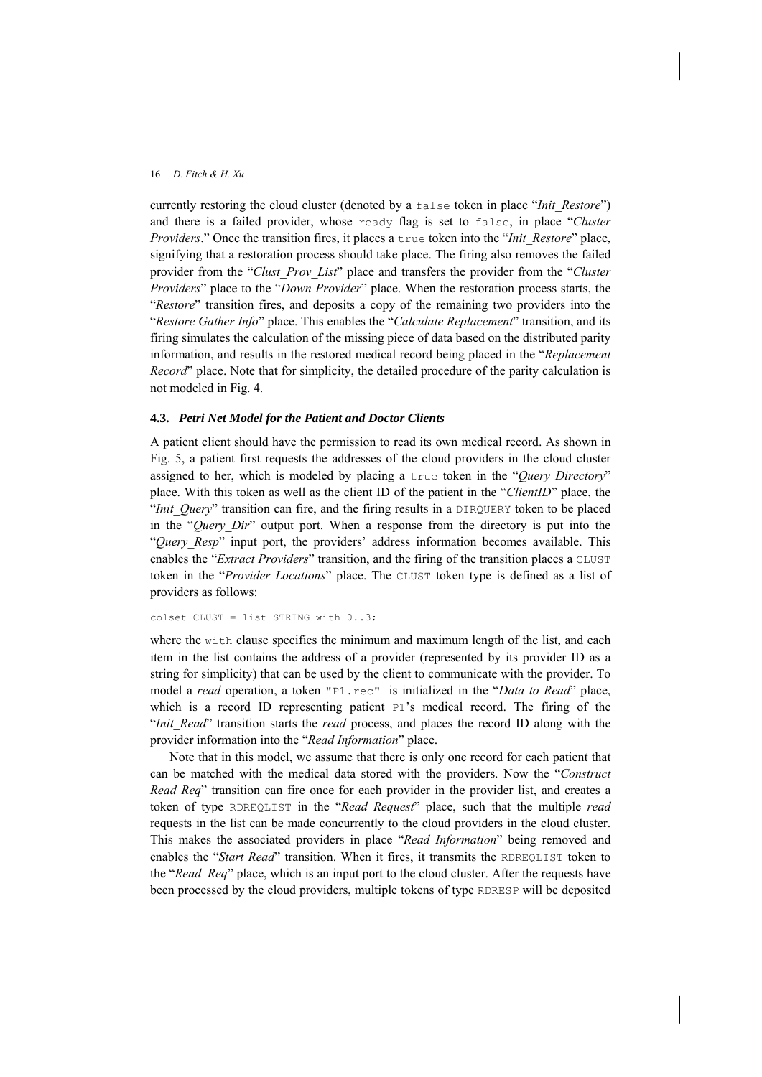currently restoring the cloud cluster (denoted by a false token in place "*Init\_Restore*") and there is a failed provider, whose ready flag is set to false, in place "*Cluster Providers.*" Once the transition fires, it places a true token into the "*Init\_Restore*" place, signifying that a restoration process should take place. The firing also removes the failed provider from the "*Clust\_Prov\_List*" place and transfers the provider from the "*Cluster Providers*" place to the "*Down Provider*" place. When the restoration process starts, the "*Restore*" transition fires, and deposits a copy of the remaining two providers into the "*Restore Gather Info*" place. This enables the "*Calculate Replacement*" transition, and its firing simulates the calculation of the missing piece of data based on the distributed parity information, and results in the restored medical record being placed in the "*Replacement Record*" place. Note that for simplicity, the detailed procedure of the parity calculation is not modeled in Fig. 4.

# **4.3.** *Petri Net Model for the Patient and Doctor Clients*

A patient client should have the permission to read its own medical record. As shown in Fig. 5, a patient first requests the addresses of the cloud providers in the cloud cluster assigned to her, which is modeled by placing a true token in the "*Query Directory*" place. With this token as well as the client ID of the patient in the "*ClientID*" place, the "*Init\_Query*" transition can fire, and the firing results in a DIRQUERY token to be placed in the "*Query Dir*" output port. When a response from the directory is put into the "*Query\_Resp*" input port, the providers' address information becomes available. This enables the "*Extract Providers*" transition, and the firing of the transition places a CLUST token in the "*Provider Locations*" place. The CLUST token type is defined as a list of providers as follows:

# colset  $CLUST = list STRING with 0..3;$

where the with clause specifies the minimum and maximum length of the list, and each item in the list contains the address of a provider (represented by its provider ID as a string for simplicity) that can be used by the client to communicate with the provider. To model a *read* operation, a token "P1.rec" is initialized in the "*Data to Read*" place, which is a record ID representing patient P1's medical record. The firing of the "*Init Read*" transition starts the *read* process, and places the record ID along with the provider information into the "*Read Information*" place.

Note that in this model, we assume that there is only one record for each patient that can be matched with the medical data stored with the providers. Now the "*Construct Read Req*" transition can fire once for each provider in the provider list, and creates a token of type RDREQLIST in the "*Read Request*" place, such that the multiple *read* requests in the list can be made concurrently to the cloud providers in the cloud cluster. This makes the associated providers in place "*Read Information*" being removed and enables the "*Start Read*" transition. When it fires, it transmits the RDREQLIST token to the "*Read\_Req*" place, which is an input port to the cloud cluster. After the requests have been processed by the cloud providers, multiple tokens of type RDRESP will be deposited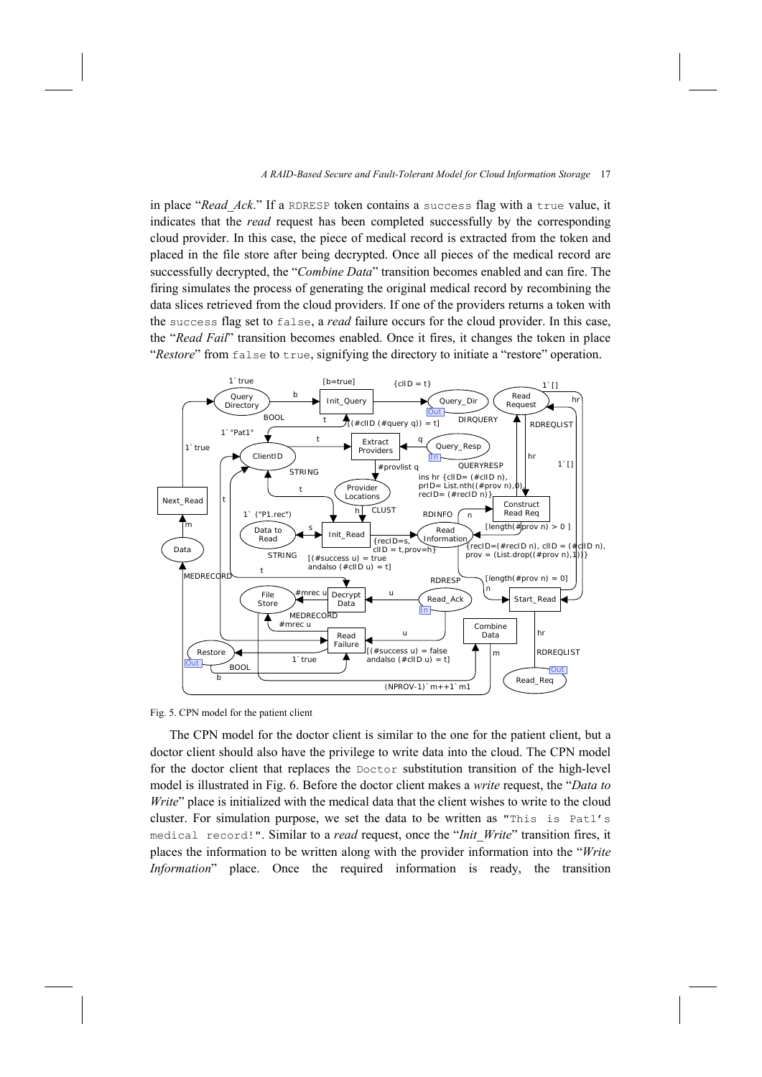#### *A RAID-Based Secure and Fault-Tolerant Model for Cloud Information Storage* 17

in place "*Read\_Ack*." If a RDRESP token contains a success flag with a true value, it indicates that the *read* request has been completed successfully by the corresponding cloud provider. In this case, the piece of medical record is extracted from the token and placed in the file store after being decrypted. Once all pieces of the medical record are successfully decrypted, the "*Combine Data*" transition becomes enabled and can fire. The firing simulates the process of generating the original medical record by recombining the data slices retrieved from the cloud providers. If one of the providers returns a token with the success flag set to false, a *read* failure occurs for the cloud provider. In this case, the "*Read Fail*" transition becomes enabled. Once it fires, it changes the token in place "*Restore*" from false to true, signifying the directory to initiate a "restore" operation.



Fig. 5. CPN model for the patient client

The CPN model for the doctor client is similar to the one for the patient client, but a doctor client should also have the privilege to write data into the cloud. The CPN model for the doctor client that replaces the Doctor substitution transition of the high-level model is illustrated in Fig. 6. Before the doctor client makes a *write* request, the "*Data to Write*" place is initialized with the medical data that the client wishes to write to the cloud cluster. For simulation purpose, we set the data to be written as "This is Pat1's medical record!". Similar to a *read* request, once the "*Init\_Write*" transition fires, it places the information to be written along with the provider information into the "*Write Information*" place. Once the required information is ready, the transition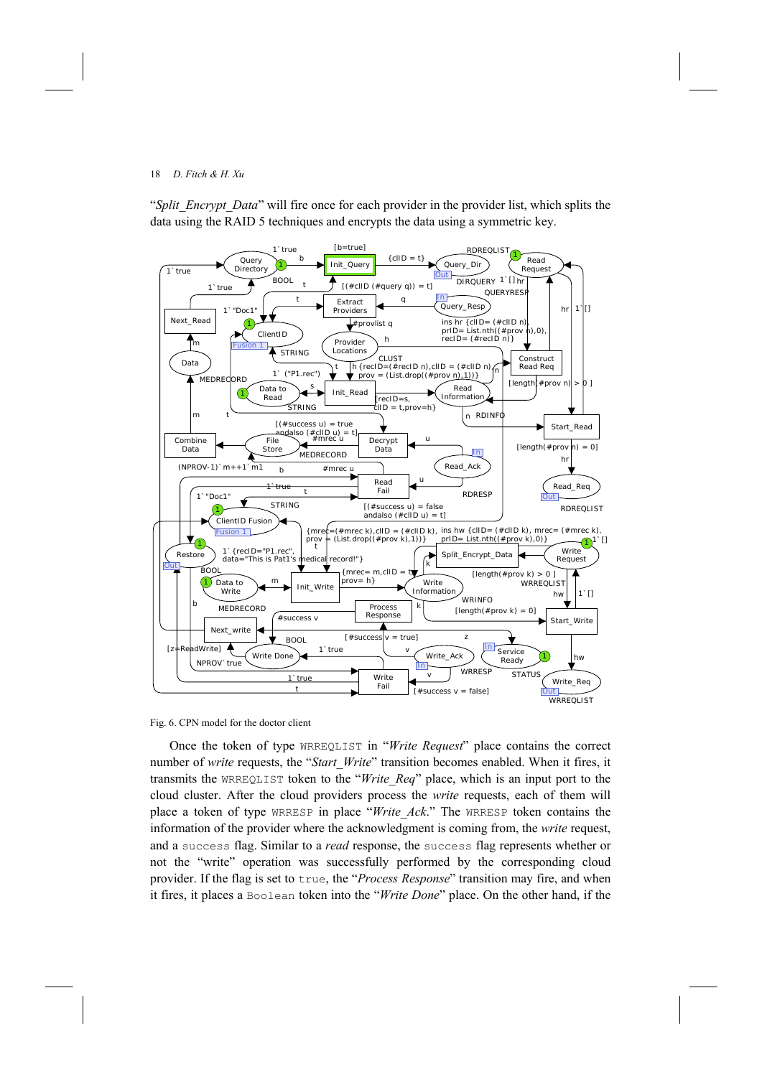"*Split\_Encrypt\_Data*" will fire once for each provider in the provider list, which splits the data using the RAID 5 techniques and encrypts the data using a symmetric key.



Fig. 6. CPN model for the doctor client

Once the token of type WRREQLIST in "*Write Request*" place contains the correct number of *write* requests, the "*Start Write*" transition becomes enabled. When it fires, it transmits the WRREQLIST token to the "*Write\_Req*" place, which is an input port to the cloud cluster. After the cloud providers process the *write* requests, each of them will place a token of type WRRESP in place "*Write\_Ack*." The WRRESP token contains the information of the provider where the acknowledgment is coming from, the *write* request, and a success flag. Similar to a *read* response, the success flag represents whether or not the "write" operation was successfully performed by the corresponding cloud provider. If the flag is set to true, the "*Process Response*" transition may fire, and when it fires, it places a Boolean token into the "*Write Done*" place. On the other hand, if the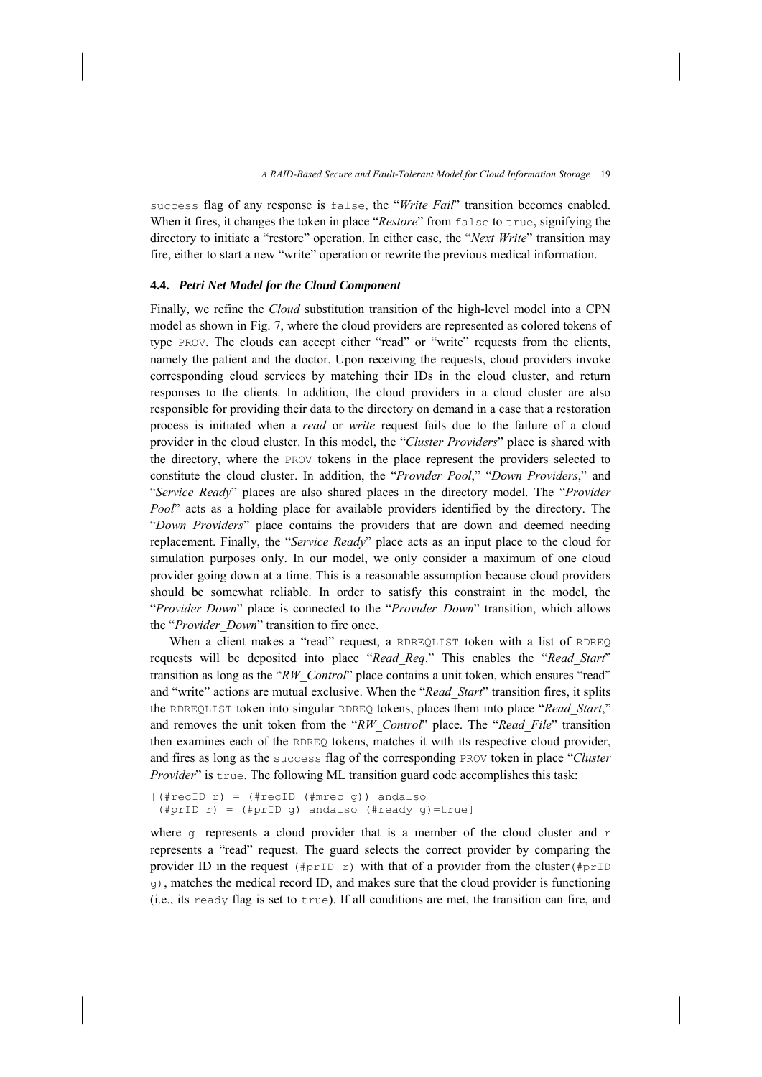success flag of any response is false, the "*Write Fail*" transition becomes enabled. When it fires, it changes the token in place "*Restore*" from false to true, signifying the directory to initiate a "restore" operation. In either case, the "*Next Write*" transition may fire, either to start a new "write" operation or rewrite the previous medical information.

# **4.4.** *Petri Net Model for the Cloud Component*

Finally, we refine the *Cloud* substitution transition of the high-level model into a CPN model as shown in Fig. 7, where the cloud providers are represented as colored tokens of type PROV. The clouds can accept either "read" or "write" requests from the clients, namely the patient and the doctor. Upon receiving the requests, cloud providers invoke corresponding cloud services by matching their IDs in the cloud cluster, and return responses to the clients. In addition, the cloud providers in a cloud cluster are also responsible for providing their data to the directory on demand in a case that a restoration process is initiated when a *read* or *write* request fails due to the failure of a cloud provider in the cloud cluster. In this model, the "*Cluster Providers*" place is shared with the directory, where the PROV tokens in the place represent the providers selected to constitute the cloud cluster. In addition, the "*Provider Pool*," "*Down Providers*," and "*Service Ready*" places are also shared places in the directory model. The "*Provider Pool*" acts as a holding place for available providers identified by the directory. The "*Down Providers*" place contains the providers that are down and deemed needing replacement. Finally, the "*Service Ready*" place acts as an input place to the cloud for simulation purposes only. In our model, we only consider a maximum of one cloud provider going down at a time. This is a reasonable assumption because cloud providers should be somewhat reliable. In order to satisfy this constraint in the model, the "*Provider Down*" place is connected to the "*Provider\_Down*" transition, which allows the "*Provider\_Down*" transition to fire once.

When a client makes a "read" request, a RDREQLIST token with a list of RDREQ requests will be deposited into place "*Read\_Req*." This enables the "*Read\_Start*" transition as long as the "*RW\_Control*" place contains a unit token, which ensures "read" and "write" actions are mutual exclusive. When the "*Read\_Start*" transition fires, it splits the RDREQLIST token into singular RDREQ tokens, places them into place "*Read\_Start*," and removes the unit token from the "*RW\_Control*" place. The "*Read\_File*" transition then examines each of the RDREQ tokens, matches it with its respective cloud provider, and fires as long as the success flag of the corresponding PROV token in place "*Cluster Provider*" is true. The following ML transition guard code accomplishes this task:

```
[ (#recID r) = (#recID (#mrec q)) andalso
 (#prID r) = (#prID g) andalso (#ready g)=true]
```
where  $q$  represents a cloud provider that is a member of the cloud cluster and r represents a "read" request. The guard selects the correct provider by comparing the provider ID in the request (#prID r) with that of a provider from the cluster (#prID g), matches the medical record ID, and makes sure that the cloud provider is functioning (i.e., its ready flag is set to true). If all conditions are met, the transition can fire, and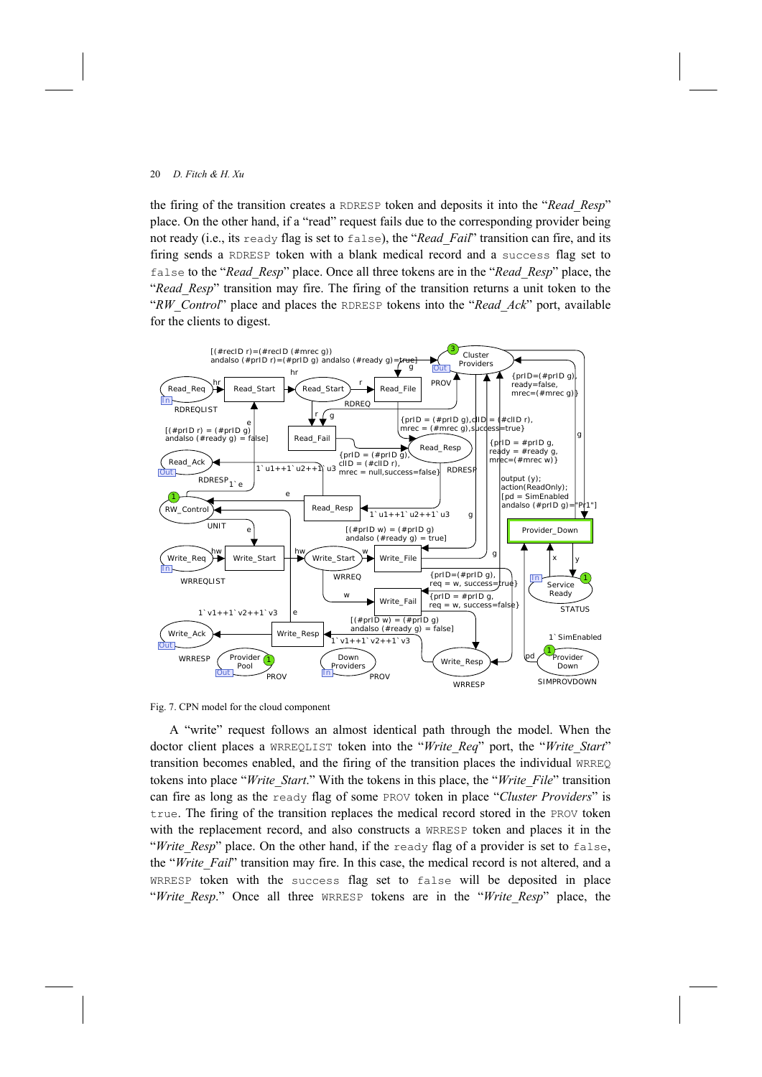the firing of the transition creates a RDRESP token and deposits it into the "*Read\_Resp*" place. On the other hand, if a "read" request fails due to the corresponding provider being not ready (i.e., its ready flag is set to false), the "*Read\_Fail*" transition can fire, and its firing sends a RDRESP token with a blank medical record and a success flag set to false to the "*Read\_Resp*" place. Once all three tokens are in the "*Read\_Resp*" place, the "*Read\_Resp*" transition may fire. The firing of the transition returns a unit token to the "*RW\_Control*" place and places the RDRESP tokens into the "*Read\_Ack*" port, available for the clients to digest.



Fig. 7. CPN model for the cloud component

A "write" request follows an almost identical path through the model. When the doctor client places a WRREQLIST token into the "*Write\_Req*" port, the "*Write\_Start*" transition becomes enabled, and the firing of the transition places the individual WRREQ tokens into place "*Write\_Start*." With the tokens in this place, the "*Write\_File*" transition can fire as long as the ready flag of some PROV token in place "*Cluster Providers*" is true. The firing of the transition replaces the medical record stored in the PROV token with the replacement record, and also constructs a WRRESP token and places it in the "*Write Resp*" place. On the other hand, if the ready flag of a provider is set to false, the "*Write\_Fail*" transition may fire. In this case, the medical record is not altered, and a WRRESP token with the success flag set to false will be deposited in place "*Write\_Resp*." Once all three WRRESP tokens are in the "*Write\_Resp*" place, the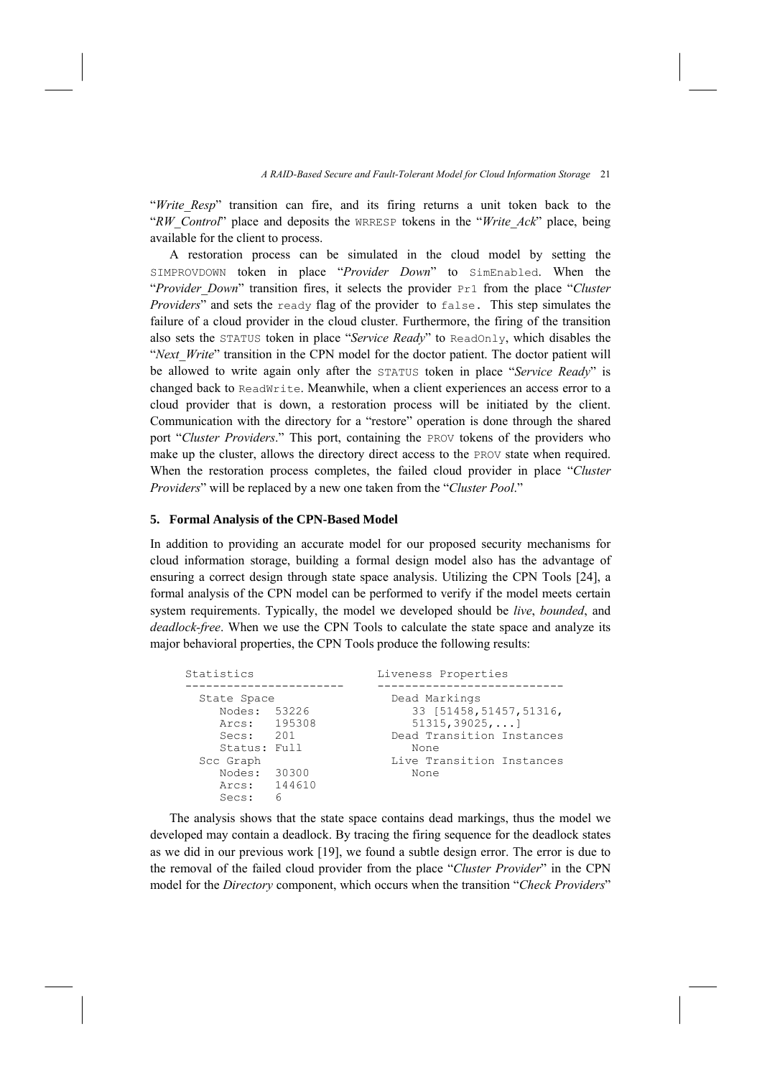"*Write\_Resp*" transition can fire, and its firing returns a unit token back to the "*RW\_Control*" place and deposits the WRRESP tokens in the "*Write\_Ack*" place, being available for the client to process.

A restoration process can be simulated in the cloud model by setting the SIMPROVDOWN token in place "*Provider Down*" to SimEnabled. When the "*Provider\_Down*" transition fires, it selects the provider Pr1 from the place "*Cluster Providers*" and sets the ready flag of the provider to false. This step simulates the failure of a cloud provider in the cloud cluster. Furthermore, the firing of the transition also sets the STATUS token in place "*Service Ready*" to ReadOnly, which disables the "*Next\_Write*" transition in the CPN model for the doctor patient. The doctor patient will be allowed to write again only after the STATUS token in place "*Service Ready*" is changed back to ReadWrite. Meanwhile, when a client experiences an access error to a cloud provider that is down, a restoration process will be initiated by the client. Communication with the directory for a "restore" operation is done through the shared port "*Cluster Providers*." This port, containing the PROV tokens of the providers who make up the cluster, allows the directory direct access to the PROV state when required. When the restoration process completes, the failed cloud provider in place "*Cluster Providers*" will be replaced by a new one taken from the "*Cluster Pool*."

#### **5. Formal Analysis of the CPN-Based Model**

In addition to providing an accurate model for our proposed security mechanisms for cloud information storage, building a formal design model also has the advantage of ensuring a correct design through state space analysis. Utilizing the CPN Tools [24], a formal analysis of the CPN model can be performed to verify if the model meets certain system requirements. Typically, the model we developed should be *live*, *bounded*, and *deadlock-free*. When we use the CPN Tools to calculate the state space and analyze its major behavioral properties, the CPN Tools produce the following results:

| Statistics                                                                                                               |            | Liveness Properties                                                                                                                           |
|--------------------------------------------------------------------------------------------------------------------------|------------|-----------------------------------------------------------------------------------------------------------------------------------------------|
| State Space<br>Nodes: 53226<br>Arcs: 195308<br>Secs: 201<br>Status: Full<br>Scc Graph<br>Nodes:<br>Arcs: 144610<br>Secs: | 30300<br>6 | Dead Markings<br>33 [51458, 51457, 51316,<br>$51315, 39025, \ldots$<br>Dead Transition Instances<br>None<br>Live Transition Instances<br>None |

The analysis shows that the state space contains dead markings, thus the model we developed may contain a deadlock. By tracing the firing sequence for the deadlock states as we did in our previous work [19], we found a subtle design error. The error is due to the removal of the failed cloud provider from the place "*Cluster Provider*" in the CPN model for the *Directory* component, which occurs when the transition "*Check Providers*"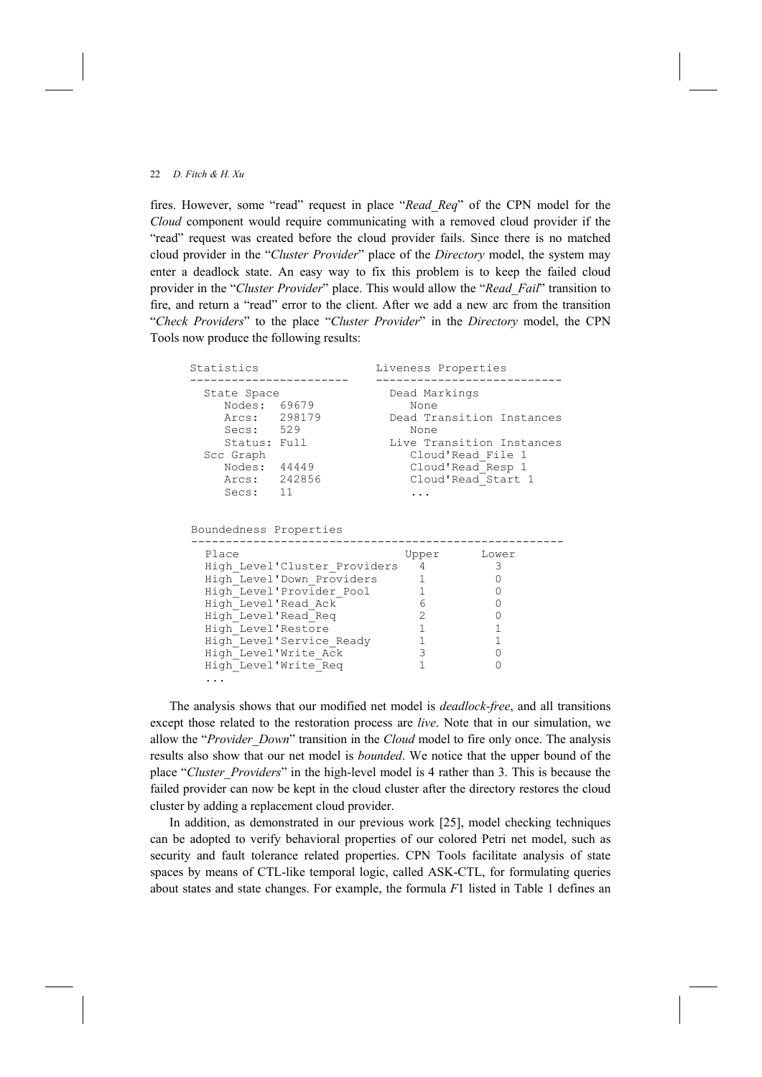fires. However, some "read" request in place "*Read\_Req*" of the CPN model for the *Cloud* component would require communicating with a removed cloud provider if the "read" request was created before the cloud provider fails. Since there is no matched cloud provider in the "*Cluster Provider*" place of the *Directory* model, the system may enter a deadlock state. An easy way to fix this problem is to keep the failed cloud provider in the "*Cluster Provider*" place. This would allow the "*Read\_Fail*" transition to fire, and return a "read" error to the client. After we add a new arc from the transition "*Check Providers*" to the place "*Cluster Provider*" in the *Directory* model, the CPN Tools now produce the following results:

| Statistics                                                                                                                                                                                                                                          | Liveness Properties                                                                                                                                     |
|-----------------------------------------------------------------------------------------------------------------------------------------------------------------------------------------------------------------------------------------------------|---------------------------------------------------------------------------------------------------------------------------------------------------------|
| State Space<br>Nodes: 69679<br>Arcs: 298179<br>Secs: 529<br>Status: Full<br>Scc Graph<br>Nodes: 44449<br>Arcs: 242856<br>Secs: 11                                                                                                                   | Dead Markings<br>None<br>Dead Transition Instances<br>None<br>Live Transition Instances<br>Cloud'Read File 1<br>Cloud'Read Resp 1<br>Cloud'Read Start 1 |
| Boundedness Properties                                                                                                                                                                                                                              |                                                                                                                                                         |
| Place<br>High Level'Cluster Providers<br>High Level'Down Providers<br>High Level'Provider Pool<br>High Level'Read Ack<br>High Level'Read Req<br>High Level'Restore<br>High Level'Service Ready<br>High Level'Write Ack<br>High Level'Write Req<br>. | Upper<br>Lower<br>4<br>3<br>$\mathbf{1}$<br>0<br>$\mathbf{1}$<br>0<br>6<br>O<br>2<br>0<br>1<br>1<br>$\mathbf{1}$<br>$\mathbf{1}$<br>3<br>0<br>1<br>O    |

The analysis shows that our modified net model is *deadlock-free*, and all transitions except those related to the restoration process are *live*. Note that in our simulation, we allow the "*Provider\_Down*" transition in the *Cloud* model to fire only once. The analysis results also show that our net model is *bounded*. We notice that the upper bound of the place "*Cluster\_Providers*" in the high-level model is 4 rather than 3. This is because the failed provider can now be kept in the cloud cluster after the directory restores the cloud cluster by adding a replacement cloud provider.

In addition, as demonstrated in our previous work [25], model checking techniques can be adopted to verify behavioral properties of our colored Petri net model, such as security and fault tolerance related properties. CPN Tools facilitate analysis of state spaces by means of CTL-like temporal logic, called ASK-CTL, for formulating queries about states and state changes. For example, the formula *F*1 listed in Table 1 defines an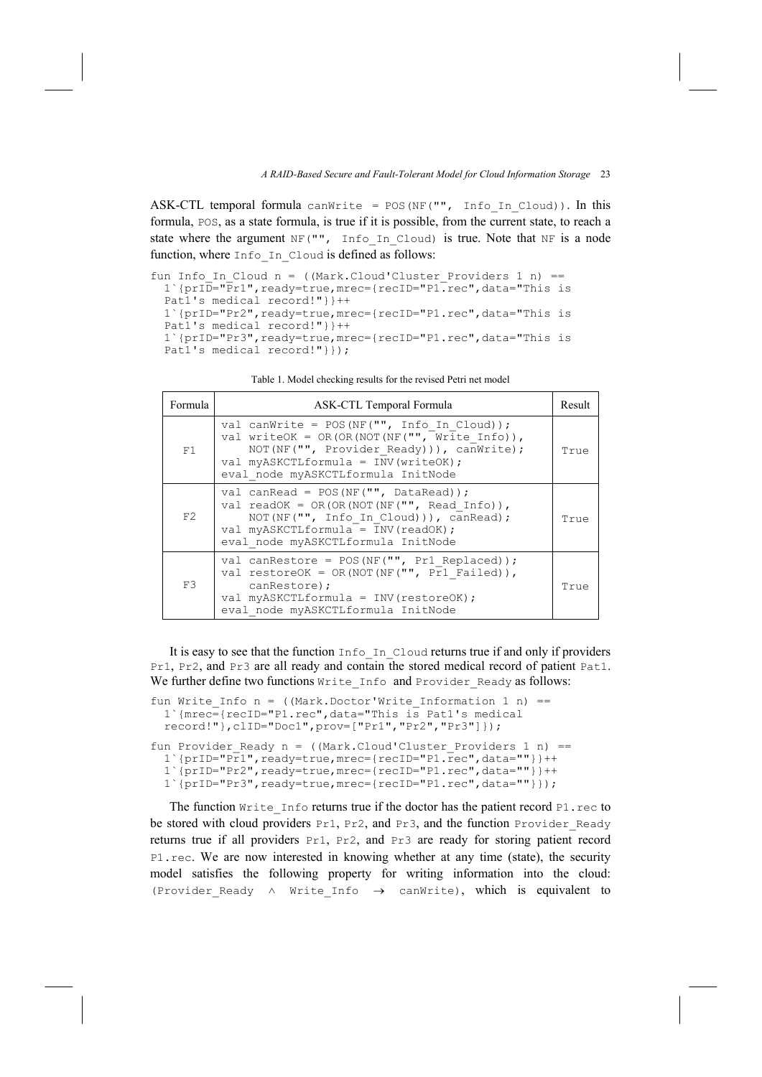ASK-CTL temporal formula canWrite = POS(NF("", Info In Cloud)). In this formula, POS, as a state formula, is true if it is possible, from the current state, to reach a state where the argument NF("", Info In Cloud) is true. Note that NF is a node function, where Info In Cloud is defined as follows:

```
fun Info In Cloud n = ((Mark.Cloud'Cluster Providers 1 n) ==
  1`{prID="Pr1",ready=true,mrec={recID="P1.rec",data="This is 
  Pat1's medical record!"}}++ 
  1`{prID="Pr2",ready=true,mrec={recID="P1.rec",data="This is 
  Pat1's medical record!"}}++ 
  1`{prID="Pr3",ready=true,mrec={recID="P1.rec",data="This is 
  Pat1's medical record!"}});
```

|  | Table 1. Model checking results for the revised Petri net model |  |  |  |
|--|-----------------------------------------------------------------|--|--|--|
|  |                                                                 |  |  |  |

| Formula        | ASK-CTL Temporal Formula                                                                                                                                                                                                  | Result |
|----------------|---------------------------------------------------------------------------------------------------------------------------------------------------------------------------------------------------------------------------|--------|
| F1             | val canWrite = $POS(NF("", Info In Cloud));$<br>val writeOK = $OR(OR(NOT(NF("", Write Info)),$<br>NOT(NF("", Provider Ready))), canWrite);<br>val myASKCTLformula = $INV(writeOK);$<br>eval node myASKCTLformula InitNode | True   |
| F <sub>2</sub> | val canRead = $POS(NF("", DataRead));$<br>val readOK = $OR(OR(NOT(NF("", Read Info))$ ,<br>NOT(NF("", Info In Cloud))), canRead);<br>val myASKCTLformula = $INV(readOK)$ ;<br>eval node myASKCTLformula InitNode          | True   |
| F3             | val canRestore = $POS(NF("", Pr1 Replaced));$<br>val restoreOK = $OR(NOT(NF("", Pr1 Failed)),$<br>canRestore);<br>val myASKCTLformula = INV(restoreOK);<br>eval node myASKCTLformula InitNode                             | True   |

It is easy to see that the function  $\text{Info}\text{In}$  Cloud returns true if and only if providers Pr1, Pr2, and Pr3 are all ready and contain the stored medical record of patient Pat1. We further define two functions Write Info and Provider Ready as follows:

```
fun Write_Info n = ((Mark.Doctor'Write_Information 1 n) == 
   1`{mrec={recID="P1.rec",data="This is Pat1's medical 
   record!"},clID="Doc1",prov=["Pr1","Pr2","Pr3"]});
```

```
fun Provider Ready n = ((Mark.Cloud'Cluster Providers 1 n) ==
 1`{prID="Pr1", ready=true, mrec={recID="P1.rec", data=""}}++
   1`{prID="Pr2",ready=true,mrec={recID="P1.rec",data=""}}++ 
  1`{prID="Pr3",ready=true,mrec={recID="P1.rec",data=""}});
```
The function Write\_Info returns true if the doctor has the patient record P1.rec to be stored with cloud providers  $Pr1, Pr2,$  and  $Pr3,$  and the function Provider Ready returns true if all providers Pr1, Pr2, and Pr3 are ready for storing patient record P1.rec. We are now interested in knowing whether at any time (state), the security model satisfies the following property for writing information into the cloud: (Provider Ready  $\land$  Write Info  $\rightarrow$  canWrite), which is equivalent to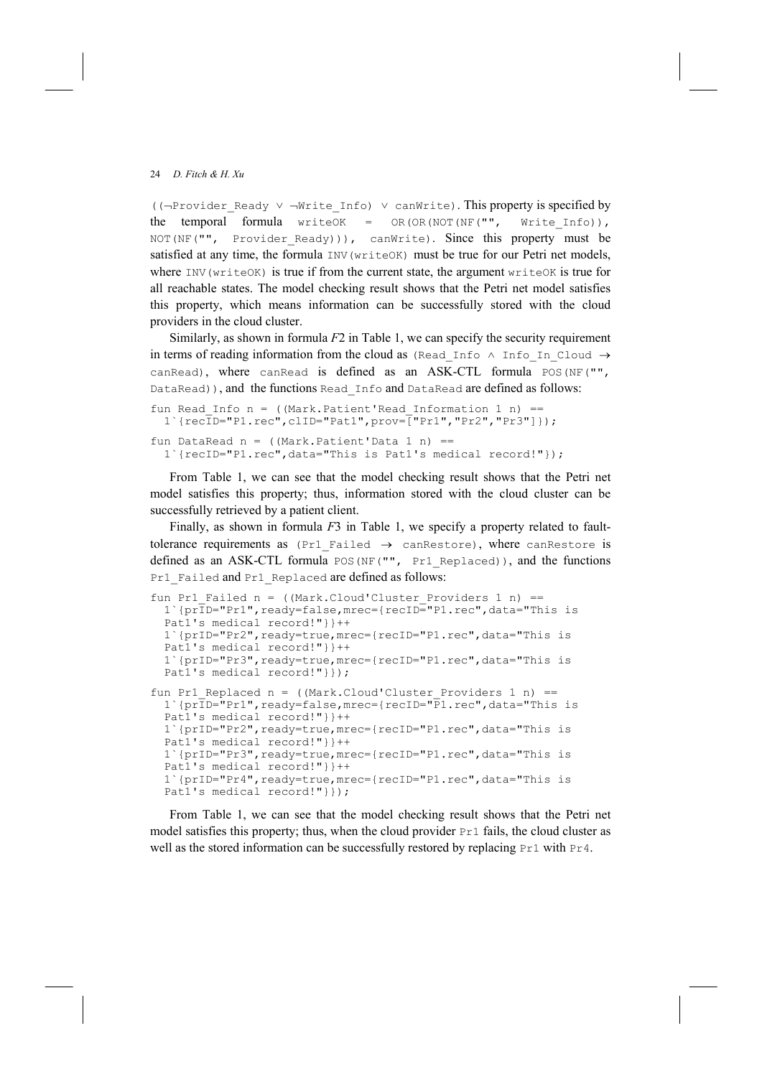((¬Provider\_Ready ˅ ¬Write\_Info) ˅ canWrite). This property is specified by the temporal formula writeOK =  $OR(OR(NOT(NF("", Write Info))$ NOT(NF("", Provider Ready))), canWrite). Since this property must be satisfied at any time, the formula  $INV(writeOK)$  must be true for our Petri net models, where INV (writeOK) is true if from the current state, the argument writeOK is true for all reachable states. The model checking result shows that the Petri net model satisfies this property, which means information can be successfully stored with the cloud providers in the cloud cluster.

Similarly, as shown in formula *F*2 in Table 1, we can specify the security requirement in terms of reading information from the cloud as (Read Info  $\land$  Info\_In\_Cloud  $\rightarrow$ canRead), where canRead is defined as an ASK-CTL formula POS(NF("", DataRead)), and the functions Read Info and DataRead are defined as follows:

```
fun Read Info n = ((Mark.Patient'Read Information 1 n) ==
  1`{recID="P1.rec",clID="Pat1",prov=["Pr1","Pr2","Pr3"]}); 
fun DataRead n = ((Mark.Patient' Data 1 n) == 1`{recID="P1.rec",data="This is Pat1's medical record!"});
```
From Table 1, we can see that the model checking result shows that the Petri net model satisfies this property; thus, information stored with the cloud cluster can be successfully retrieved by a patient client.

Finally, as shown in formula *F*3 in Table 1, we specify a property related to faulttolerance requirements as  $(Pr1 \text{ Failed } \rightarrow \text{ can}$ <br>Restore), where canRestore is defined as an ASK-CTL formula POS(NF("", Pr1\_Replaced)), and the functions Pr1\_Failed and Pr1\_Replaced are defined as follows:

```
fun Pr1 Failed n = ((Mark.Cloud'Cluster Providers 1 n) ==
   1`{prID="Pr1",ready=false,mrec={recID="P1.rec",data="This is 
  Pat1's medical record!"}}++ 
   1`{prID="Pr2",ready=true,mrec={recID="P1.rec",data="This is 
  Pat1's medical record!"}}++ 
   1`{prID="Pr3",ready=true,mrec={recID="P1.rec",data="This is 
 Pat<sup>1</sup>'s medical record!"} });
fun Pr1 Replaced n = ((Mark.Cloud'Cluster Providers 1 n) ==
   1`{prID="Pr1",ready=false,mrec={recID="P1.rec",data="This is 
   Pat1's medical record!"}}++ 
   1`{prID="Pr2",ready=true,mrec={recID="P1.rec",data="This is 
  Pat1's medical record!"}}++ 
   1`{prID="Pr3",ready=true,mrec={recID="P1.rec",data="This is 
   Pat1's medical record!"}}++ 
   1`{prID="Pr4",ready=true,mrec={recID="P1.rec",data="This is 
   Pat1's medical record!"}});
```
From Table 1, we can see that the model checking result shows that the Petri net model satisfies this property; thus, when the cloud provider Pr1 fails, the cloud cluster as well as the stored information can be successfully restored by replacing Pr1 with Pr4.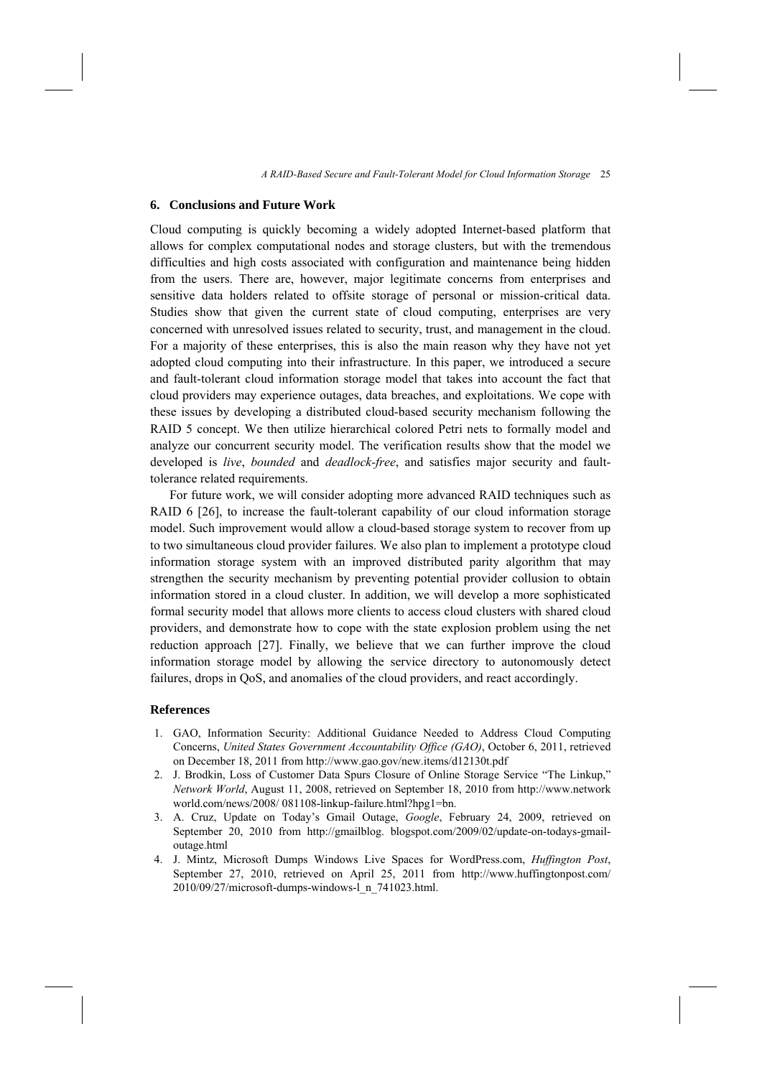*A RAID-Based Secure and Fault-Tolerant Model for Cloud Information Storage* 25

# **6. Conclusions and Future Work**

Cloud computing is quickly becoming a widely adopted Internet-based platform that allows for complex computational nodes and storage clusters, but with the tremendous difficulties and high costs associated with configuration and maintenance being hidden from the users. There are, however, major legitimate concerns from enterprises and sensitive data holders related to offsite storage of personal or mission-critical data. Studies show that given the current state of cloud computing, enterprises are very concerned with unresolved issues related to security, trust, and management in the cloud. For a majority of these enterprises, this is also the main reason why they have not yet adopted cloud computing into their infrastructure. In this paper, we introduced a secure and fault-tolerant cloud information storage model that takes into account the fact that cloud providers may experience outages, data breaches, and exploitations. We cope with these issues by developing a distributed cloud-based security mechanism following the RAID 5 concept. We then utilize hierarchical colored Petri nets to formally model and analyze our concurrent security model. The verification results show that the model we developed is *live*, *bounded* and *deadlock-free*, and satisfies major security and faulttolerance related requirements.

For future work, we will consider adopting more advanced RAID techniques such as RAID 6 [26], to increase the fault-tolerant capability of our cloud information storage model. Such improvement would allow a cloud-based storage system to recover from up to two simultaneous cloud provider failures. We also plan to implement a prototype cloud information storage system with an improved distributed parity algorithm that may strengthen the security mechanism by preventing potential provider collusion to obtain information stored in a cloud cluster. In addition, we will develop a more sophisticated formal security model that allows more clients to access cloud clusters with shared cloud providers, and demonstrate how to cope with the state explosion problem using the net reduction approach [27]. Finally, we believe that we can further improve the cloud information storage model by allowing the service directory to autonomously detect failures, drops in QoS, and anomalies of the cloud providers, and react accordingly.

# **References**

- 1. GAO, Information Security: Additional Guidance Needed to Address Cloud Computing Concerns, *United States Government Accountability Office (GAO)*, October 6, 2011, retrieved on December 18, 2011 from http://www.gao.gov/new.items/d12130t.pdf
- 2. J. Brodkin, Loss of Customer Data Spurs Closure of Online Storage Service "The Linkup," *Network World*, August 11, 2008, retrieved on September 18, 2010 from http://www.network world.com/news/2008/ 081108-linkup-failure.html?hpg1=bn.
- 3. A. Cruz, Update on Today's Gmail Outage, *Google*, February 24, 2009, retrieved on September 20, 2010 from http://gmailblog. blogspot.com/2009/02/update-on-todays-gmailoutage.html
- 4. J. Mintz, Microsoft Dumps Windows Live Spaces for WordPress.com, *Huffington Post*, September 27, 2010, retrieved on April 25, 2011 from http://www.huffingtonpost.com/ 2010/09/27/microsoft-dumps-windows-l\_n\_741023.html.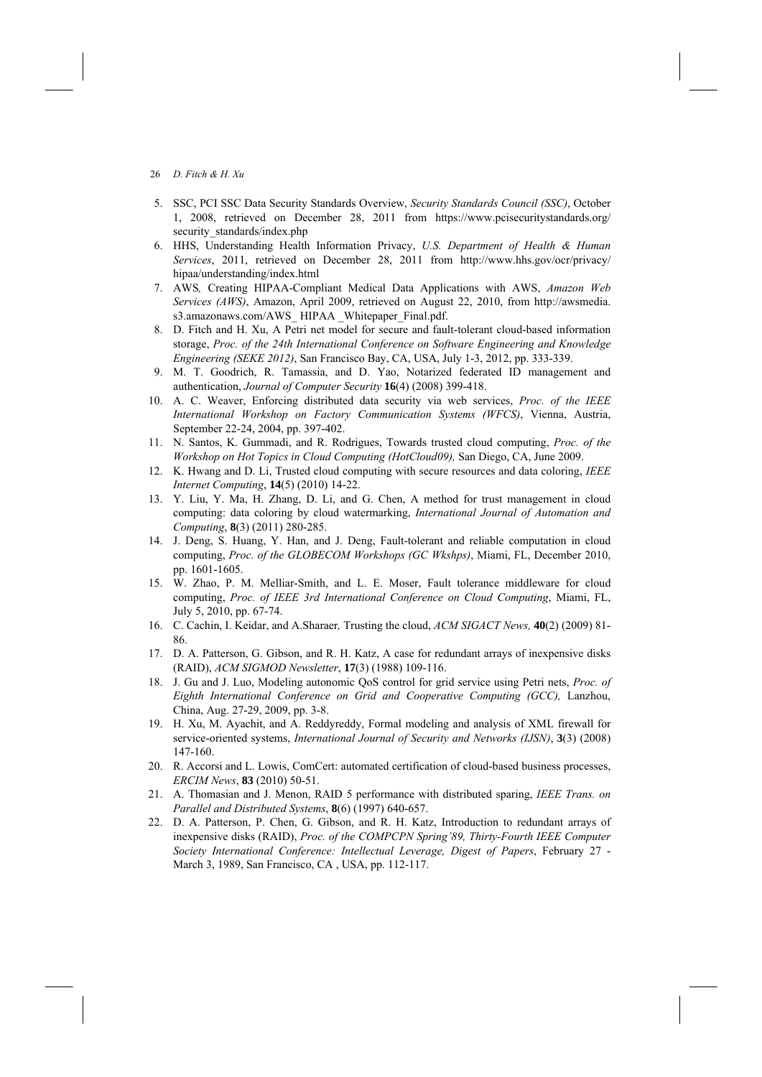- 5. SSC, PCI SSC Data Security Standards Overview, *Security Standards Council (SSC)*, October 1, 2008, retrieved on December 28, 2011 from https://www.pcisecuritystandards.org/ security\_standards/index.php
- 6. HHS, Understanding Health Information Privacy, *U.S. Department of Health & Human Services*, 2011, retrieved on December 28, 2011 from http://www.hhs.gov/ocr/privacy/ hipaa/understanding/index.html
- 7. AWS*,* Creating HIPAA-Compliant Medical Data Applications with AWS, *Amazon Web Services (AWS)*, Amazon, April 2009, retrieved on August 22, 2010, from http://awsmedia. s3.amazonaws.com/AWS\_HIPAA\_Whitepaper\_Final.pdf.
- 8. D. Fitch and H. Xu, A Petri net model for secure and fault-tolerant cloud-based information storage, *Proc. of the 24th International Conference on Software Engineering and Knowledge Engineering (SEKE 2012)*, San Francisco Bay, CA, USA, July 1-3, 2012, pp. 333-339.
- 9. M. T. Goodrich, R. Tamassia, and D. Yao, Notarized federated ID management and authentication, *Journal of Computer Security* **16**(4) (2008) 399-418.
- 10. A. C. Weaver, Enforcing distributed data security via web services, *Proc. of the IEEE International Workshop on Factory Communication Systems (WFCS)*, Vienna, Austria, September 22-24, 2004, pp. 397-402.
- 11. N. Santos, K. Gummadi, and R. Rodrigues, Towards trusted cloud computing, *Proc. of the Workshop on Hot Topics in Cloud Computing (HotCloud09),* San Diego, CA, June 2009.
- 12. K. Hwang and D. Li, Trusted cloud computing with secure resources and data coloring, *IEEE Internet Computing*, **14**(5) (2010) 14-22.
- 13. Y. Liu, Y. Ma, H. Zhang, D. Li, and G. Chen, A method for trust management in cloud computing: data coloring by cloud watermarking, *International Journal of Automation and Computing*, **8**(3) (2011) 280-285.
- 14. J. Deng, S. Huang, Y. Han, and J. Deng, Fault-tolerant and reliable computation in cloud computing, *Proc. of the GLOBECOM Workshops (GC Wkshps)*, Miami, FL, December 2010, pp. 1601-1605.
- 15. W. Zhao, P. M. Melliar-Smith, and L. E. Moser, Fault tolerance middleware for cloud computing, *Proc. of IEEE 3rd International Conference on Cloud Computing*, Miami, FL, July 5, 2010, pp. 67-74.
- 16. C. Cachin, I. Keidar, and A.Sharaer*,* Trusting the cloud, *ACM SIGACT News,* **40**(2) (2009) 81- 86.
- 17. D. A. Patterson, G. Gibson, and R. H. Katz, A case for redundant arrays of inexpensive disks (RAID), *ACM SIGMOD Newsletter*, **17**(3) (1988) 109-116.
- 18. J. Gu and J. Luo, Modeling autonomic QoS control for grid service using Petri nets, *Proc. of Eighth International Conference on Grid and Cooperative Computing (GCC),* Lanzhou, China, Aug. 27-29, 2009, pp. 3-8.
- 19. H. Xu, M. Ayachit, and A. Reddyreddy, Formal modeling and analysis of XML firewall for service-oriented systems, *International Journal of Security and Networks (IJSN)*, **3**(3) (2008) 147-160.
- 20. R. Accorsi and L. Lowis, ComCert: automated certification of cloud-based business processes, *ERCIM News*, **83** (2010) 50-51.
- 21. A. Thomasian and J. Menon, RAID 5 performance with distributed sparing, *IEEE Trans. on Parallel and Distributed Systems*, **8**(6) (1997) 640-657.
- 22. D. A. Patterson, P. Chen, G. Gibson, and R. H. Katz, Introduction to redundant arrays of inexpensive disks (RAID), *Proc. of the COMPCPN Spring'89, Thirty-Fourth IEEE Computer Society International Conference: Intellectual Leverage, Digest of Papers*, February 27 - March 3, 1989, San Francisco, CA , USA, pp. 112-117.